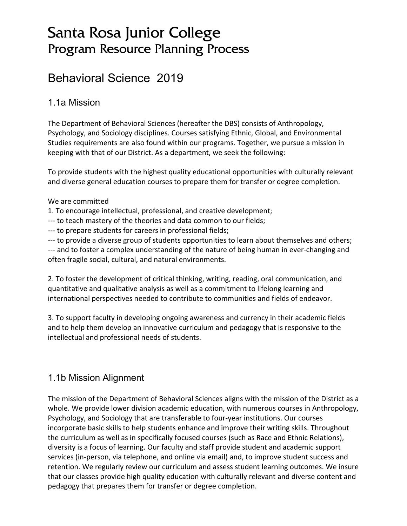# Santa Rosa Junior College Program Resource Planning Process

# Behavioral Science 2019

## 1.1a Mission

The Department of Behavioral Sciences (hereafter the DBS) consists of Anthropology, Psychology, and Sociology disciplines. Courses satisfying Ethnic, Global, and Environmental Studies requirements are also found within our programs. Together, we pursue a mission in keeping with that of our District. As a department, we seek the following:

To provide students with the highest quality educational opportunities with culturally relevant and diverse general education courses to prepare them for transfer or degree completion.

### We are committed

- 1. To encourage intellectual, professional, and creative development;
- --- to teach mastery of the theories and data common to our fields;
- --- to prepare students for careers in professional fields;
- --- to provide a diverse group of students opportunities to learn about themselves and others;

--- and to foster a complex understanding of the nature of being human in ever-changing and often fragile social, cultural, and natural environments.

2. To foster the development of critical thinking, writing, reading, oral communication, and quantitative and qualitative analysis as well as a commitment to lifelong learning and international perspectives needed to contribute to communities and fields of endeavor.

3. To support faculty in developing ongoing awareness and currency in their academic fields and to help them develop an innovative curriculum and pedagogy that is responsive to the intellectual and professional needs of students.

## 1.1b Mission Alignment

The mission of the Department of Behavioral Sciences aligns with the mission of the District as a whole. We provide lower division academic education, with numerous courses in Anthropology, Psychology, and Sociology that are transferable to four-year institutions. Our courses incorporate basic skills to help students enhance and improve their writing skills. Throughout the curriculum as well as in specifically focused courses (such as Race and Ethnic Relations), diversity is a focus of learning. Our faculty and staff provide student and academic support services (in-person, via telephone, and online via email) and, to improve student success and retention. We regularly review our curriculum and assess student learning outcomes. We insure that our classes provide high quality education with culturally relevant and diverse content and pedagogy that prepares them for transfer or degree completion.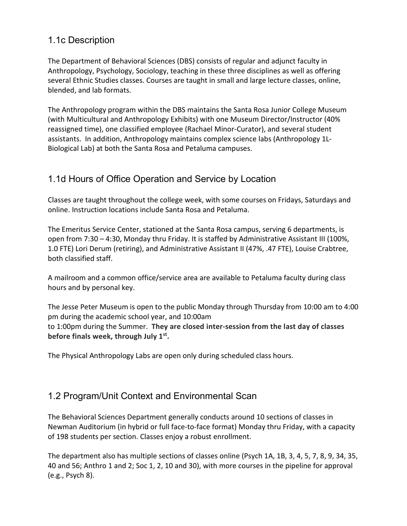## 1.1c Description

The Department of Behavioral Sciences (DBS) consists of regular and adjunct faculty in Anthropology, Psychology, Sociology, teaching in these three disciplines as well as offering several Ethnic Studies classes. Courses are taught in small and large lecture classes, online, blended, and lab formats.

The Anthropology program within the DBS maintains the Santa Rosa Junior College Museum (with Multicultural and Anthropology Exhibits) with one Museum Director/Instructor (40% reassigned time), one classified employee (Rachael Minor-Curator), and several student assistants. In addition, Anthropology maintains complex science labs (Anthropology 1L-Biological Lab) at both the Santa Rosa and Petaluma campuses.

## 1.1d Hours of Office Operation and Service by Location

Classes are taught throughout the college week, with some courses on Fridays, Saturdays and online. Instruction locations include Santa Rosa and Petaluma.

The Emeritus Service Center, stationed at the Santa Rosa campus, serving 6 departments, is open from 7:30 – 4:30, Monday thru Friday. It is staffed by Administrative Assistant III (100%, 1.0 FTE) Lori Derum (retiring), and Administrative Assistant II (47%, .47 FTE), Louise Crabtree, both classified staff.

A mailroom and a common office/service area are available to Petaluma faculty during class hours and by personal key.

The Jesse Peter Museum is open to the public Monday through Thursday from 10:00 am to 4:00 pm during the academic school year, and 10:00am to 1:00pm during the Summer. **They are closed inter-session from the last day of classes before finals week, through July 1st.** 

The Physical Anthropology Labs are open only during scheduled class hours.

## 1.2 Program/Unit Context and Environmental Scan

The Behavioral Sciences Department generally conducts around 10 sections of classes in Newman Auditorium (in hybrid or full face-to-face format) Monday thru Friday, with a capacity of 198 students per section. Classes enjoy a robust enrollment.

The department also has multiple sections of classes online (Psych 1A, 1B, 3, 4, 5, 7, 8, 9, 34, 35, 40 and 56; Anthro 1 and 2; Soc 1, 2, 10 and 30), with more courses in the pipeline for approval (e.g., Psych 8).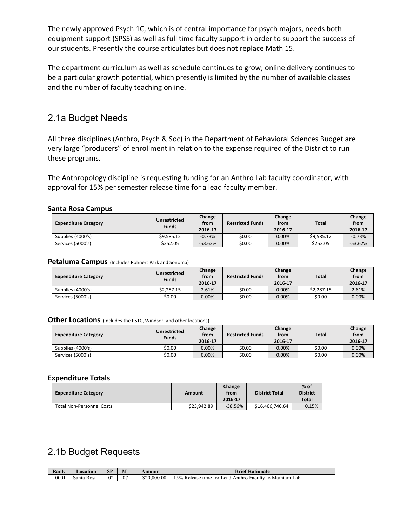The newly approved Psych 1C, which is of central importance for psych majors, needs both equipment support (SPSS) as well as full time faculty support in order to support the success of our students. Presently the course articulates but does not replace Math 15.

The department curriculum as well as schedule continues to grow; online delivery continues to be a particular growth potential, which presently is limited by the number of available classes and the number of faculty teaching online.

### 2.1a Budget Needs

All three disciplines (Anthro, Psych & Soc) in the Department of Behavioral Sciences Budget are very large "producers" of enrollment in relation to the expense required of the District to run these programs.

The Anthropology discipline is requesting funding for an Anthro Lab faculty coordinator, with approval for 15% per semester release time for a lead faculty member.

### **Santa Rosa Campus**

| <b>Expenditure Category</b> | <b>Unrestricted</b><br><b>Funds</b> | Change<br>from<br>2016-17 | <b>Restricted Funds</b> | Change<br>from<br>2016-17 | <b>Total</b> | Change<br>from<br>2016-17 |
|-----------------------------|-------------------------------------|---------------------------|-------------------------|---------------------------|--------------|---------------------------|
| Supplies (4000's)           | \$9.585.12                          | $-0.73%$                  | \$0.00                  | $0.00\%$                  | \$9.585.12   | $-0.73%$                  |
| Services (5000's)           | \$252.05                            | $-53.62%$                 | \$0.00                  | $0.00\%$                  | \$252.05     | $-53.62%$                 |

#### **Petaluma Campus** (Includes Rohnert Park and Sonoma)

| <b>Expenditure Category</b> | <b>Unrestricted</b><br><b>Funds</b> | Change<br>from<br>2016-17 | <b>Restricted Funds</b> | Change<br>from<br>2016-17 | <b>Total</b> | Change<br>from<br>2016-17 |
|-----------------------------|-------------------------------------|---------------------------|-------------------------|---------------------------|--------------|---------------------------|
| Supplies (4000's)           | \$2.287.15                          | 2.61%                     | \$0.00                  | 0.00%                     | \$2.287.15   | 2.61%                     |
| Services (5000's)           | \$0.00                              | 0.00%                     | \$0.00                  | 0.00%                     | \$0.00       | 0.00%                     |

#### **Other Locations** (Includes the PSTC, Windsor, and other locations)

| <b>Expenditure Category</b> | Unrestricted<br><b>Funds</b> | Change<br>from<br>2016-17 | <b>Restricted Funds</b> | Change<br>from<br>2016-17 | <b>Total</b> | Change<br>from<br>2016-17 |
|-----------------------------|------------------------------|---------------------------|-------------------------|---------------------------|--------------|---------------------------|
| Supplies (4000's)           | \$0.00                       | $0.00\%$                  | \$0.00                  | $0.00\%$                  | \$0.00       | 0.00%                     |
| Services (5000's)           | \$0.00                       | 0.00%                     | \$0.00                  | $0.00\%$                  | \$0.00       | 0.00%                     |

#### **Expenditure Totals**

| <b>Expenditure Category</b>      | Amount      | Change<br>from<br>2016-17 | <b>District Total</b> | $%$ of<br><b>District</b><br><b>Total</b> |
|----------------------------------|-------------|---------------------------|-----------------------|-------------------------------------------|
| <b>Total Non-Personnel Costs</b> | \$23.942.89 | $-38.56%$                 | \$16,406,746.64       | 0.15%                                     |

## 2.1b Budget Requests

| Rank | Location        | <b>SP</b> | IV. | Amount      | $\mathbf{r}$<br>Brief<br><b>Rationale</b>                                       |
|------|-----------------|-----------|-----|-------------|---------------------------------------------------------------------------------|
| 0001 | Rosa<br>Santa ' | 02        | 07  | \$20,000.00 | 5%<br>Release time<br>Maintain<br>tor<br>ead<br>Anthro<br>Lab<br><b>Faculty</b> |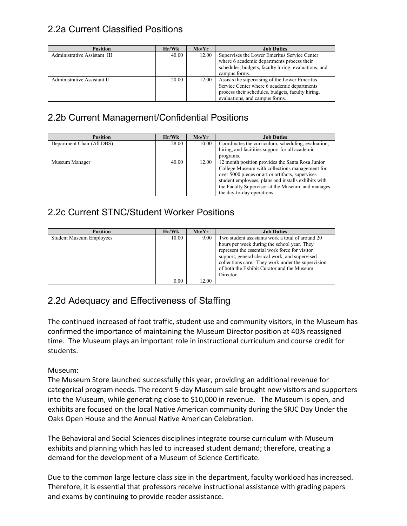## 2.2a Current Classified Positions

| <b>Position</b>              | Hr/Wk | Mo/Yr | <b>Job Duties</b>                                    |
|------------------------------|-------|-------|------------------------------------------------------|
| Administrative Assistant III | 40.00 | 12.00 | Supervises the Lower Emeritus Service Center         |
|                              |       |       | where 6 academic departments process their           |
|                              |       |       | schedules, budgets, faculty hiring, evaluations, and |
|                              |       |       | campus forms.                                        |
| Administrative Assistant II  | 20.00 | 12.00 | Assists the supervising of the Lower Emeritus        |
|                              |       |       | Service Center where 6 academic departments          |
|                              |       |       | process their schedules, budgets, faculty hiring,    |
|                              |       |       | evaluations, and campus forms.                       |

## 2.2b Current Management/Confidential Positions

| <b>Position</b>            | Hr/Wk | Mo/Yr | <b>Job Duties</b>                                   |
|----------------------------|-------|-------|-----------------------------------------------------|
| Department Chair (All DBS) | 28.00 | 10.00 | Coordinates the curriculum, scheduling, evaluation, |
|                            |       |       | hiring, and facilities support for all academic     |
|                            |       |       | programs.                                           |
| Museum Manager             | 40.00 | 12.00 | 12 month position provides the Santa Rosa Junior    |
|                            |       |       | College Museum with collections management for      |
|                            |       |       | over 5000 pieces or art or artifacts, supervises    |
|                            |       |       | student employees, plans and installs exhibits with |
|                            |       |       | the Faculty Supervisor at the Museum, and manages   |
|                            |       |       | the day-to-day operations.                          |

## 2.2c Current STNC/Student Worker Positions

| <b>Position</b>                 | Hr/Wk | Mo/Yr | <b>Job Duties</b>                                                                                                                                                                                                                                                                                      |
|---------------------------------|-------|-------|--------------------------------------------------------------------------------------------------------------------------------------------------------------------------------------------------------------------------------------------------------------------------------------------------------|
| <b>Student Museum Employees</b> | 10.00 | 9.00  | Two student assistants work a total of around 20<br>hours per week during the school year. They<br>represent the essential work force for visitor<br>support, general clerical work, and supervised<br>collections care. They work under the supervision<br>of both the Exhibit Curator and the Museum |
|                                 |       |       | Director.                                                                                                                                                                                                                                                                                              |
|                                 | 0.00  | 12.00 |                                                                                                                                                                                                                                                                                                        |

## 2.2d Adequacy and Effectiveness of Staffing

The continued increased of foot traffic, student use and community visitors, in the Museum has confirmed the importance of maintaining the Museum Director position at 40% reassigned time. The Museum plays an important role in instructional curriculum and course credit for students.

### Museum:

The Museum Store launched successfully this year, providing an additional revenue for categorical program needs. The recent 5-day Museum sale brought new visitors and supporters into the Museum, while generating close to \$10,000 in revenue. The Museum is open, and exhibits are focused on the local Native American community during the SRJC Day Under the Oaks Open House and the Annual Native American Celebration.

The Behavioral and Social Sciences disciplines integrate course curriculum with Museum exhibits and planning which has led to increased student demand; therefore, creating a demand for the development of a Museum of Science Certificate.

Due to the common large lecture class size in the department, faculty workload has increased. Therefore, it is essential that professors receive instructional assistance with grading papers and exams by continuing to provide reader assistance.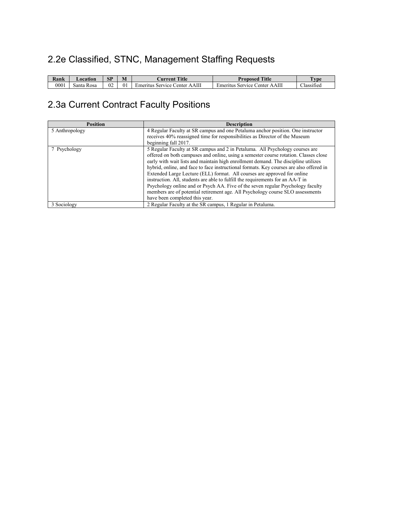# 2.2e Classified, STNC, Management Staffing Requests

| Rank | <b>_ocation</b> | <b>SP</b> | 11L     | <b>Title</b><br>urrent.                | <b>Title</b><br>Proposed                 | $\mathbf{T}_{\mathbf{Y}}$ $\mathbf{p}$ |
|------|-----------------|-----------|---------|----------------------------------------|------------------------------------------|----------------------------------------|
| 0001 | Santa<br>Rosa   | 02        | $_{01}$ | AAIII<br>Center<br>service<br>Emeritus | AAIII<br>Center<br>Emeritus<br>Service ' | $\sim$<br>$\sim$<br>lassified          |

# 2.3a Current Contract Faculty Positions

| <b>Position</b> | <b>Description</b>                                                                      |
|-----------------|-----------------------------------------------------------------------------------------|
| 5 Anthropology  | 4 Regular Faculty at SR campus and one Petaluma anchor position. One instructor         |
|                 | receives 40% reassigned time for responsibilities as Director of the Museum             |
|                 | beginning fall 2017.                                                                    |
| 7 Psychology    | 5 Regular Faculty at SR campus and 2 in Petaluma. All Psychology courses are            |
|                 | offered on both campuses and online, using a semester course rotation. Classes close    |
|                 | early with wait lists and maintain high enrollment demand. The discipline utilizes      |
|                 | hybrid, online, and face to face instructional formats. Key courses are also offered in |
|                 | Extended Large Lecture (ELL) format. All courses are approved for online                |
|                 | instruction. All, students are able to fulfill the requirements for an AA-T in          |
|                 | Psychology online and or Psych AA. Five of the seven regular Psychology faculty         |
|                 | members are of potential retirement age. All Psychology course SLO assessments          |
|                 | have been completed this year.                                                          |
| 3 Sociology     | 2 Regular Faculty at the SR campus, 1 Regular in Petaluma.                              |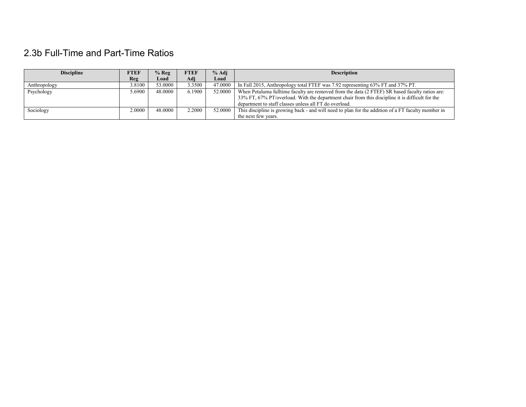# 2.3b Full-Time and Part-Time Ratios

| <b>Discipline</b> | FTEF   | $%$ Reg | FTEF   | % Adj   | <b>Description</b>                                                                                 |
|-------------------|--------|---------|--------|---------|----------------------------------------------------------------------------------------------------|
|                   | Reg    | Load    | Adi    | Load    |                                                                                                    |
| Anthropology      | 3.8100 | 53,0000 | 3.3500 | 47,0000 | In Fall 2015, Anthropology total FTEF was 7.92 representing 63% FT and 37% PT.                     |
| Psychology        | 5.6900 | 48,0000 | 6.1900 | 52,0000 | When Petaluma fulltime faculty are removed from the data (2 FTEF) SR based faculty ratios are:     |
|                   |        |         |        |         | 33% FT, 67% PT/overload. With the department chair from this discipline it is difficult for the    |
|                   |        |         |        |         | department to staff classes unless all FT do overload.                                             |
| Sociology         | 2.0000 | 48,0000 | 2.2000 | 52,0000 | This discipline is growing back - and will need to plan for the addition of a FT faculty member in |
|                   |        |         |        |         | the next few years.                                                                                |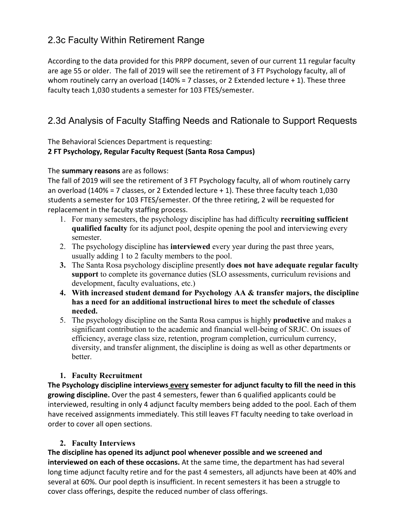## 2.3c Faculty Within Retirement Range

According to the data provided for this PRPP document, seven of our current 11 regular faculty are age 55 or older. The fall of 2019 will see the retirement of 3 FT Psychology faculty, all of whom routinely carry an overload (140% = 7 classes, or 2 Extended lecture  $+$  1). These three faculty teach 1,030 students a semester for 103 FTES/semester.

## 2.3d Analysis of Faculty Staffing Needs and Rationale to Support Requests

### The Behavioral Sciences Department is requesting: **2 FT Psychology, Regular Faculty Request (Santa Rosa Campus)**

### The **summary reasons** are as follows:

The fall of 2019 will see the retirement of 3 FT Psychology faculty, all of whom routinely carry an overload (140% = 7 classes, or 2 Extended lecture  $+$  1). These three faculty teach 1,030 students a semester for 103 FTES/semester. Of the three retiring, 2 will be requested for replacement in the faculty staffing process.

- 1. For many semesters, the psychology discipline has had difficulty **recruiting sufficient qualified faculty** for its adjunct pool, despite opening the pool and interviewing every semester.
- 2. The psychology discipline has **interviewed** every year during the past three years, usually adding 1 to 2 faculty members to the pool.
- **3.** The Santa Rosa psychology discipline presently **does not have adequate regular faculty support** to complete its governance duties (SLO assessments, curriculum revisions and development, faculty evaluations, etc.)
- **4. With increased student demand for Psychology AA & transfer majors, the discipline has a need for an additional instructional hires to meet the schedule of classes needed.**
- 5. The psychology discipline on the Santa Rosa campus is highly **productive** and makes a significant contribution to the academic and financial well-being of SRJC. On issues of efficiency, average class size, retention, program completion, curriculum currency, diversity, and transfer alignment, the discipline is doing as well as other departments or better.

### **1. Faculty Recruitment**

**The Psychology discipline interviews every semester for adjunct faculty to fill the need in this growing discipline.** Over the past 4 semesters, fewer than 6 qualified applicants could be interviewed, resulting in only 4 adjunct faculty members being added to the pool. Each of them have received assignments immediately. This still leaves FT faculty needing to take overload in order to cover all open sections.

### **2. Faculty Interviews**

**The discipline has opened its adjunct pool whenever possible and we screened and interviewed on each of these occasions.** At the same time, the department has had several long time adjunct faculty retire and for the past 4 semesters, all adjuncts have been at 40% and several at 60%. Our pool depth is insufficient. In recent semesters it has been a struggle to cover class offerings, despite the reduced number of class offerings.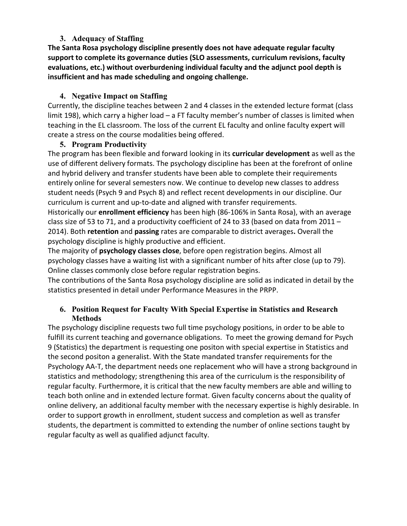### **3. Adequacy of Staffing**

**The Santa Rosa psychology discipline presently does not have adequate regular faculty support to complete its governance duties (SLO assessments, curriculum revisions, faculty evaluations, etc.) without overburdening individual faculty and the adjunct pool depth is insufficient and has made scheduling and ongoing challenge.**

### **4. Negative Impact on Staffing**

Currently, the discipline teaches between 2 and 4 classes in the extended lecture format (class limit 198), which carry a higher load – a FT faculty member's number of classes is limited when teaching in the EL classroom. The loss of the current EL faculty and online faculty expert will create a stress on the course modalities being offered.

### **5. Program Productivity**

The program has been flexible and forward looking in its **curricular development** as well as the use of different delivery formats. The psychology discipline has been at the forefront of online and hybrid delivery and transfer students have been able to complete their requirements entirely online for several semesters now. We continue to develop new classes to address student needs (Psych 9 and Psych 8) and reflect recent developments in our discipline. Our curriculum is current and up-to-date and aligned with transfer requirements.

Historically our **enrollment efficiency** has been high (86-106% in Santa Rosa), with an average class size of 53 to 71, and a productivity coefficient of 24 to 33 (based on data from 2011 – 2014). Both **retention** and **passing** rates are comparable to district averages**.** Overall the psychology discipline is highly productive and efficient.

The majority of **psychology classes close**, before open registration begins. Almost all psychology classes have a waiting list with a significant number of hits after close (up to 79). Online classes commonly close before regular registration begins.

The contributions of the Santa Rosa psychology discipline are solid as indicated in detail by the statistics presented in detail under Performance Measures in the PRPP.

### **6. Position Request for Faculty With Special Expertise in Statistics and Research Methods**

The psychology discipline requests two full time psychology positions, in order to be able to fulfill its current teaching and governance obligations. To meet the growing demand for Psych 9 (Statistics) the department is requesting one positon with special expertise in Statistics and the second positon a generalist. With the State mandated transfer requirements for the Psychology AA-T, the department needs one replacement who will have a strong background in statistics and methodology; strengthening this area of the curriculum is the responsibility of regular faculty. Furthermore, it is critical that the new faculty members are able and willing to teach both online and in extended lecture format. Given faculty concerns about the quality of online delivery, an additional faculty member with the necessary expertise is highly desirable. In order to support growth in enrollment, student success and completion as well as transfer students, the department is committed to extending the number of online sections taught by regular faculty as well as qualified adjunct faculty.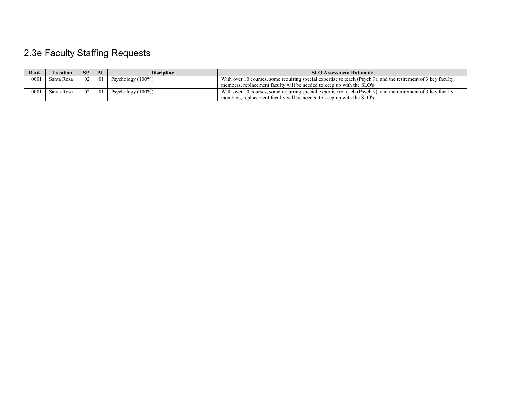# 2.3e Faculty Staffing Requests

| Rank | $\angle$ ocation | SP -            | M  | <b>Discipline</b>    | <b>SLO Assessment Rationale</b>                                                                                |
|------|------------------|-----------------|----|----------------------|----------------------------------------------------------------------------------------------------------------|
| 0001 | Santa Rosa       | 02 <sub>1</sub> | 01 | Psychology $(100\%)$ | With over 10 courses, some requiring special expertise to teach (Psych 9), and the retirement of 3 key faculty |
|      |                  |                 |    |                      | members, replacement faculty will be needed to keep up with the SLO's                                          |
| 0001 | Santa Rosa       | 02 <sub>1</sub> | 01 | Psychology $(100\%)$ | With over 10 courses, some requiring special expertise to teach (Psych 9), and the retirement of 3 key faculty |
|      |                  |                 |    |                      | members, replacement faculty will be needed to keep up with the SLO's                                          |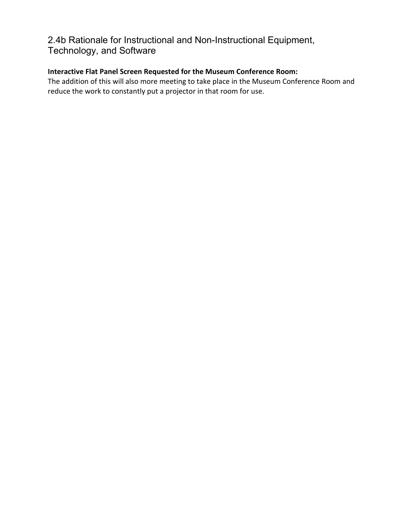## 2.4b Rationale for Instructional and Non-Instructional Equipment, Technology, and Software

### **Interactive Flat Panel Screen Requested for the Museum Conference Room:**

The addition of this will also more meeting to take place in the Museum Conference Room and reduce the work to constantly put a projector in that room for use.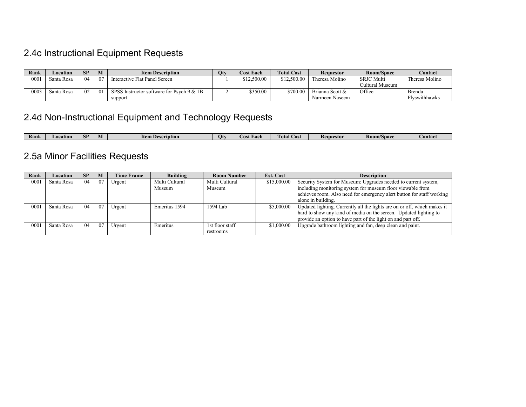# 2.4c Instructional Equipment Requests

| Rank | Location   | <b>SP</b> |      | <b>Item Description</b>                   | Oty | <b>Cost Each</b> | <b>Total Cost</b> | <b>Requestor</b> | Room/Space        | Contact        |
|------|------------|-----------|------|-------------------------------------------|-----|------------------|-------------------|------------------|-------------------|----------------|
| 0001 | Santa Rosa | 04        | - 07 | Interactive Flat Panel Screen             |     | \$12,500.00      | \$12,500.00       | Theresa Molino   | <b>SRJC</b> Multi | Theresa Molino |
|      |            |           |      |                                           |     |                  |                   |                  | Cultural Museum   |                |
| 0003 | Santa Rosa | 02        | 01   | SPSS Instructor software for Psych 9 & 1B |     | \$350.00         | \$700.00          | Brianna Scott &  | Office            | Brenda         |
|      |            |           |      | support                                   |     |                  |                   | Narmeen Naseem   |                   | Flyswithhawks  |

# 2.4d Non-Instructional Equipment and Technology Requests

| Rank | Location | эd<br>n i | tem<br>scription | Otv | Each<br>.os | <b>CONT</b><br>otal<br>Cost | mestor<br>Kear | <b>Room/Space</b> | Contac |
|------|----------|-----------|------------------|-----|-------------|-----------------------------|----------------|-------------------|--------|

# 2.5a Minor Facilities Requests

| Rank | Location   | <b>SP</b> | M   | <b>Time Frame</b> | <b>Building</b> | <b>Room Number</b> | <b>Est. Cost</b> | <b>Description</b>                                                       |
|------|------------|-----------|-----|-------------------|-----------------|--------------------|------------------|--------------------------------------------------------------------------|
| 0001 | Santa Rosa | 04        | 07  | Urgent            | Multi Cultural  | Multi Cultural     | \$15,000.00      | Security System for Museum: Upgrades needed to current system,           |
|      |            |           |     |                   | Museum          | Museum             |                  | including monitoring system for museum floor viewable from               |
|      |            |           |     |                   |                 |                    |                  | achieves room. Also need for emergency alert button for staff working    |
|      |            |           |     |                   |                 |                    |                  | alone in building.                                                       |
| 0001 | Santa Rosa | 04        | 07  | Urgent            | Emeritus 1594   | 1594 Lab           | \$5,000.00       | Updated lighting. Currently all the lights are on or off, which makes it |
|      |            |           |     |                   |                 |                    |                  | hard to show any kind of media on the screen. Updated lighting to        |
|      |            |           |     |                   |                 |                    |                  | provide an option to have part of the light on and part off.             |
| 0001 | Santa Rosa | 04        | -07 | Urgent            | Emeritus        | 1st floor staff    | \$1,000.00       | Upgrade bathroom lighting and fan, deep clean and paint.                 |
|      |            |           |     |                   |                 | restrooms          |                  |                                                                          |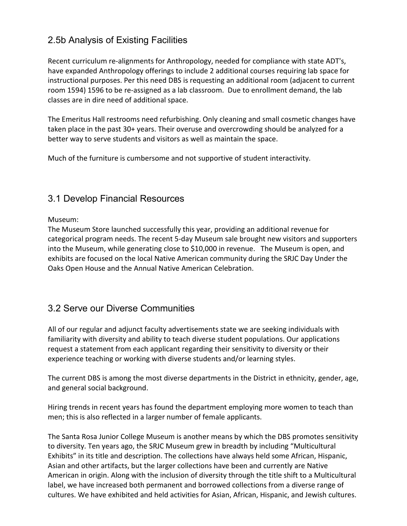## 2.5b Analysis of Existing Facilities

Recent curriculum re-alignments for Anthropology, needed for compliance with state ADT's, have expanded Anthropology offerings to include 2 additional courses requiring lab space for instructional purposes. Per this need DBS is requesting an additional room (adjacent to current room 1594) 1596 to be re-assigned as a lab classroom. Due to enrollment demand, the lab classes are in dire need of additional space.

The Emeritus Hall restrooms need refurbishing. Only cleaning and small cosmetic changes have taken place in the past 30+ years. Their overuse and overcrowding should be analyzed for a better way to serve students and visitors as well as maintain the space.

Much of the furniture is cumbersome and not supportive of student interactivity.

### 3.1 Develop Financial Resources

### Museum:

The Museum Store launched successfully this year, providing an additional revenue for categorical program needs. The recent 5-day Museum sale brought new visitors and supporters into the Museum, while generating close to \$10,000 in revenue. The Museum is open, and exhibits are focused on the local Native American community during the SRJC Day Under the Oaks Open House and the Annual Native American Celebration.

### 3.2 Serve our Diverse Communities

All of our regular and adjunct faculty advertisements state we are seeking individuals with familiarity with diversity and ability to teach diverse student populations. Our applications request a statement from each applicant regarding their sensitivity to diversity or their experience teaching or working with diverse students and/or learning styles.

The current DBS is among the most diverse departments in the District in ethnicity, gender, age, and general social background.

Hiring trends in recent years has found the department employing more women to teach than men; this is also reflected in a larger number of female applicants.

The Santa Rosa Junior College Museum is another means by which the DBS promotes sensitivity to diversity. Ten years ago, the SRJC Museum grew in breadth by including "Multicultural Exhibits" in its title and description. The collections have always held some African, Hispanic, Asian and other artifacts, but the larger collections have been and currently are Native American in origin. Along with the inclusion of diversity through the title shift to a Multicultural label, we have increased both permanent and borrowed collections from a diverse range of cultures. We have exhibited and held activities for Asian, African, Hispanic, and Jewish cultures.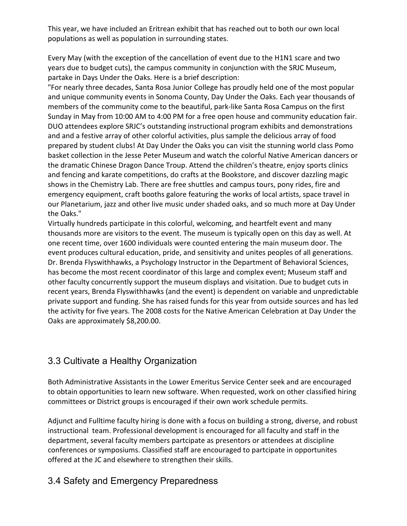This year, we have included an Eritrean exhibit that has reached out to both our own local populations as well as population in surrounding states.

Every May (with the exception of the cancellation of event due to the H1N1 scare and two years due to budget cuts), the campus community in conjunction with the SRJC Museum, partake in Days Under the Oaks. Here is a brief description:

"For nearly three decades, Santa Rosa Junior College has proudly held one of the most popular and unique community events in Sonoma County, Day Under the Oaks. Each year thousands of members of the community come to the beautiful, park-like Santa Rosa Campus on the first Sunday in May from 10:00 AM to 4:00 PM for a free open house and community education fair. DUO attendees explore SRJC's outstanding instructional program exhibits and demonstrations and and a festive array of other colorful activities, plus sample the delicious array of food prepared by student clubs! At Day Under the Oaks you can visit the stunning world class Pomo basket collection in the Jesse Peter Museum and watch the colorful Native American dancers or the dramatic Chinese Dragon Dance Troup. Attend the children's theatre, enjoy sports clinics and fencing and karate competitions, do crafts at the Bookstore, and discover dazzling magic shows in the Chemistry Lab. There are free shuttles and campus tours, pony rides, fire and emergency equipment, craft booths galore featuring the works of local artists, space travel in our Planetarium, jazz and other live music under shaded oaks, and so much more at Day Under the Oaks."

Virtually hundreds participate in this colorful, welcoming, and heartfelt event and many thousands more are visitors to the event. The museum is typically open on this day as well. At one recent time, over 1600 individuals were counted entering the main museum door. The event produces cultural education, pride, and sensitivity and unites peoples of all generations. Dr. Brenda Flyswithhawks, a Psychology Instructor in the Department of Behavioral Sciences, has become the most recent coordinator of this large and complex event; Museum staff and other faculty concurrently support the museum displays and visitation. Due to budget cuts in recent years, Brenda Flyswithhawks (and the event) is dependent on variable and unpredictable private support and funding. She has raised funds for this year from outside sources and has led the activity for five years. The 2008 costs for the Native American Celebration at Day Under the Oaks are approximately \$8,200.00.

## 3.3 Cultivate a Healthy Organization

Both Administrative Assistants in the Lower Emeritus Service Center seek and are encouraged to obtain opportunities to learn new software. When requested, work on other classified hiring committees or District groups is encouraged if their own work schedule permits.

Adjunct and Fulltime faculty hiring is done with a focus on building a strong, diverse, and robust instructional team. Professional development is encouraged for all faculty and staff in the department, several faculty members partcipate as presentors or attendees at discipline conferences or symposiums. Classified staff are encouraged to partcipate in opportunites offered at the JC and elsewhere to strengthen their skills.

## 3.4 Safety and Emergency Preparedness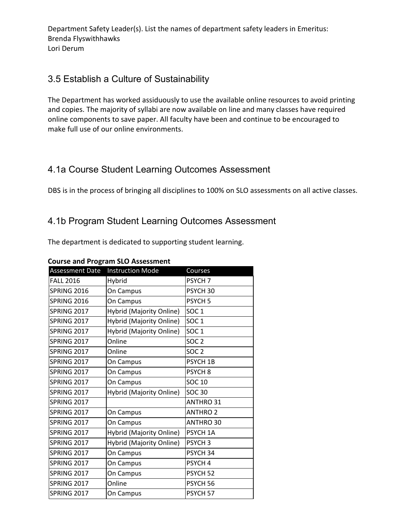Department Safety Leader(s). List the names of department safety leaders in Emeritus: Brenda Flyswithhawks Lori Derum

## 3.5 Establish a Culture of Sustainability

The Department has worked assiduously to use the available online resources to avoid printing and copies. The majority of syllabi are now available on line and many classes have required online components to save paper. All faculty have been and continue to be encouraged to make full use of our online environments.

## 4.1a Course Student Learning Outcomes Assessment

DBS is in the process of bringing all disciplines to 100% on SLO assessments on all active classes.

## 4.1b Program Student Learning Outcomes Assessment

The department is dedicated to supporting student learning.

| Assessment Date    | <b>Instruction Mode</b>  | Courses             |
|--------------------|--------------------------|---------------------|
| <b>FALL 2016</b>   | Hybrid                   | PSYCH <sub>7</sub>  |
| <b>SPRING 2016</b> | On Campus                | PSYCH <sub>30</sub> |
| SPRING 2016        | On Campus                | PSYCH <sub>5</sub>  |
| <b>SPRING 2017</b> | Hybrid (Majority Online) | SOC <sub>1</sub>    |
| <b>SPRING 2017</b> | Hybrid (Majority Online) | SOC <sub>1</sub>    |
| <b>SPRING 2017</b> | Hybrid (Majority Online) | SOC <sub>1</sub>    |
| SPRING 2017        | Online                   | SOC <sub>2</sub>    |
| <b>SPRING 2017</b> | Online                   | SOC <sub>2</sub>    |
| SPRING 2017        | On Campus                | PSYCH 1B            |
| SPRING 2017        | On Campus                | PSYCH <sub>8</sub>  |
| SPRING 2017        | On Campus                | <b>SOC 10</b>       |
| SPRING 2017        | Hybrid (Majority Online) | <b>SOC 30</b>       |
| <b>SPRING 2017</b> |                          | <b>ANTHRO 31</b>    |
| SPRING 2017        | On Campus                | <b>ANTHRO 2</b>     |
| SPRING 2017        | On Campus                | <b>ANTHRO 30</b>    |
| SPRING 2017        | Hybrid (Majority Online) | PSYCH 1A            |
| <b>SPRING 2017</b> | Hybrid (Majority Online) | PSYCH <sub>3</sub>  |
| SPRING 2017        | On Campus                | PSYCH <sub>34</sub> |
| SPRING 2017        | On Campus                | PSYCH <sub>4</sub>  |
| <b>SPRING 2017</b> | On Campus                | PSYCH <sub>52</sub> |
| <b>SPRING 2017</b> | Online                   | PSYCH <sub>56</sub> |
| <b>SPRING 2017</b> | On Campus                | PSYCH <sub>57</sub> |

### **Course and Program SLO Assessment**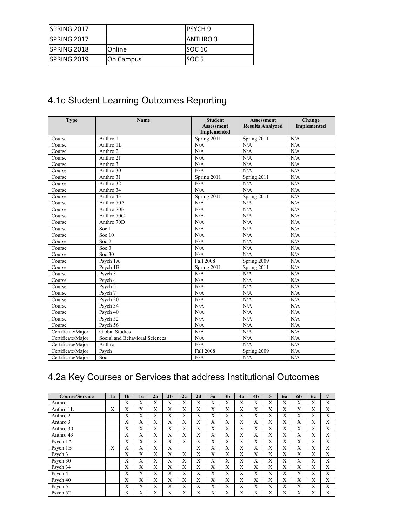| <b>ISPRING 2017</b> |               | <b>IPSYCH 9</b>    |
|---------------------|---------------|--------------------|
| <b>ISPRING 2017</b> |               | <b>JANTHRO 3</b>   |
| <b>ISPRING 2018</b> | <b>Online</b> | ISOC <sub>10</sub> |
| <b>ISPRING 2019</b> | On Campus     | <b>SOC 5</b>       |

# 4.1c Student Learning Outcomes Reporting

| <b>Type</b>       | <b>Name</b>                    | <b>Student</b><br><b>Assessment</b><br><b>Implemented</b> | <b>Assessment</b><br><b>Results Analyzed</b> | Change<br>Implemented |
|-------------------|--------------------------------|-----------------------------------------------------------|----------------------------------------------|-----------------------|
| Course            | Anthro 1                       | Spring $2011$                                             | Spring 2011                                  | N/A                   |
| Course            | Anthro 1L                      | N/A                                                       | N/A                                          | N/A                   |
| Course            | Anthro 2                       | N/A                                                       | N/A                                          | N/A                   |
| Course            | Anthro 21                      | N/A                                                       | N/A                                          | N/A                   |
| Course            | Anthro 3                       | N/A                                                       | N/A                                          | N/A                   |
| Course            | Anthro 30                      | N/A                                                       | N/A                                          | N/A                   |
| Course            | Anthro 31                      | Spring $2011$                                             | Spring 2011                                  | N/A                   |
| Course            | Anthro 32                      | N/A                                                       | N/A                                          | N/A                   |
| Course            | Anthro 34                      | N/A                                                       | N/A                                          | N/A                   |
| Course            | Anthro 43                      | Spring 2011                                               | Spring 2011                                  | N/A                   |
| Course            | Anthro 70A                     | N/A                                                       | N/A                                          | N/A                   |
| Course            | Anthro 70B                     | N/A                                                       | N/A                                          | N/A                   |
| Course            | Anthro 70C                     | N/A                                                       | N/A                                          | N/A                   |
| Course            | Anthro 70D                     | N/A                                                       | N/A                                          | N/A                   |
| Course            | Soc 1                          | N/A                                                       | N/A                                          | N/A                   |
| Course            | Soc $10$                       | N/A                                                       | N/A                                          | N/A                   |
| Course            | Soc 2                          | N/A                                                       | N/A                                          | N/A                   |
| Course            | Soc $3$                        | N/A                                                       | N/A                                          | N/A                   |
| Course            | Soc $30$                       | N/A                                                       | N/A                                          | N/A                   |
| Course            | Psych 1A                       | <b>Fall 2008</b>                                          | Spring 2009                                  | N/A                   |
| Course            | Psych 1B                       | Spring 2011                                               | Spring 2011                                  | N/A                   |
| Course            | Psych 3                        | N/A                                                       | N/A                                          | N/A                   |
| Course            | Psych 4                        | N/A                                                       | N/A                                          | N/A                   |
| Course            | Psych 5                        | N/A                                                       | N/A                                          | N/A                   |
| Course            | Psych 7                        | N/A                                                       | N/A                                          | N/A                   |
| Course            | Psych 30                       | N/A                                                       | N/A                                          | N/A                   |
| Course            | Psych 34                       | N/A                                                       | N/A                                          | N/A                   |
| Course            | Psych 40                       | N/A                                                       | N/A                                          | N/A                   |
| Course            | Psych 52                       | N/A                                                       | N/A                                          | N/A                   |
| Course            | Psych 56                       | N/A                                                       | N/A                                          | N/A                   |
| Certificate/Major | <b>Global Studies</b>          | N/A                                                       | N/A                                          | N/A                   |
| Certificate/Major | Social and Behavioral Sciences | N/A                                                       | N/A                                          | N/A                   |
| Certificate/Major | Anthro                         | N/A                                                       | N/A                                          | N/A                   |
| Certificate/Major | Psych                          | <b>Fall 2008</b>                                          | Spring 2009                                  | N/A                   |
| Certificate/Major | Soc                            | N/A                                                       | N/A                                          | N/A                   |

# 4.2a Key Courses or Services that address Institutional Outcomes

| <b>Course/Service</b> | 1a | 1 <sub>b</sub> | 1c | 2a | 2 <sub>h</sub> | 2c | 2d          | 3a | 3 <sub>h</sub> | 4a | 4 <sub>b</sub> | 5 | 6а | 6h | 6с | $\overline{7}$ |
|-----------------------|----|----------------|----|----|----------------|----|-------------|----|----------------|----|----------------|---|----|----|----|----------------|
| Anthro 1              |    | Х              | X  | X  | X              | X  | X           | X  | X              | Х  | Х              | X | Х  | Х  | X  | X              |
| Anthro 1L             | X  | X              | X  | X  | X              | X  | X           | X  | X              | X  | X              | X | X  | X  | X  | X              |
| Anthro 2              |    | X              | X  | X  | X              | X  | X           | X  | X              | Х  | Х              | X | Х  | X  | X  | X              |
| Anthro 3              |    | Χ              | X  | X  | X              | X  | X           | X  | X              | X  | X              | Х | X  | Х  | X  | X              |
| Anthro 30             |    | X              | X  | X  | X              | Х  | X           | X  | X              | Х  | Х              | Х | Х  | Х  | X  | X              |
| Anthro 43             |    | Х              | X  | X  | X              | Х  | X           | X  | X              | Х  | Х              | X | X  | X  | X  | X              |
| Psych 1A              |    | X              | X  | X  | X              | X  | X           | X  | X              | X  | X              | Х | X  | X  | X  | X              |
| Psych 1B              | X  | X              | X  | X  | X              |    | X           | X  | X              | X  | X              | X | X  | X  | X  | $\mathbf{X}$   |
| Psych 3               |    | X              | X  | X  | X              | X  | Х           | X  | X              | X  | X              | X | X  | X  | X  | $\mathbf{X}$   |
| Psych 30              |    | X              | X  | X  | X              | Х  | X           | X  | X              | Х  | Х              | X | Х  | Х  | X  | X              |
| Psych 34              |    | X              | X  | X  | X              | X  | X           | X  | X              | Х  | Х              | X | X  | Х  | X  | X              |
| Psych 4               |    | Χ              | X  | X  | X              | X  | $\mathbf x$ | X  | $\mathbf x$    | X  | X              | X | X  | X  | X  | $\mathbf{X}$   |
| Psych 40              |    | X              | X  | X  | X              | X  | X           | X  | X              | X  | X              | X | Х  | Х  | X  | X              |
| Psych 5               |    | X              | X  | X  | X              | X  | X           | X  | X              | Х  | Х              | X | Х  | X  | X  | X              |
| Psych 52              |    | Χ              | X  | X  | X              | X  | X           | X  | X              | X  | X              | X | X  | X  | X  | X              |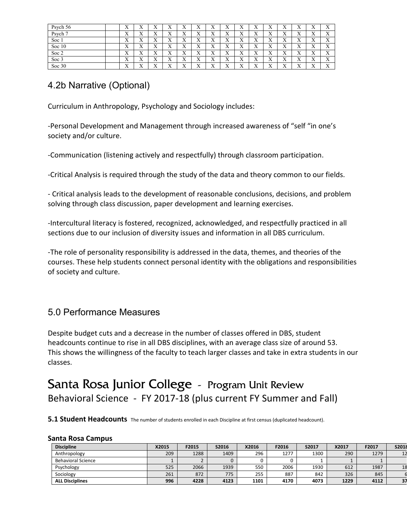| Psych 56 | ٦Z<br>$\Lambda$           | ۳z<br>$\Lambda$           | $\mathbf{v}$<br>$\Lambda$ | $\Lambda$                     | $\Lambda$              | $\Lambda$             | $\lambda$        | $\mathbf{v}$<br>$\Lambda$ | $\mathbf{x}$<br>л         | $\mathbf{v}$<br>л         | $\mathbf{x}$<br>$\Lambda$ | $\mathbf{v}$<br>A         | $\Lambda$       | $\Lambda$       | v y<br>$\lambda$       |
|----------|---------------------------|---------------------------|---------------------------|-------------------------------|------------------------|-----------------------|------------------|---------------------------|---------------------------|---------------------------|---------------------------|---------------------------|-----------------|-----------------|------------------------|
| Psych 7  | $\mathbf{v}$<br>$\Lambda$ | $\mathbf{v}$<br>$\Lambda$ | $\mathbf{v}$<br>$\Lambda$ | $\mathbf{v}$<br>$\Lambda$     | v v<br>$\Lambda$       | <b>x</b><br>$\Lambda$ | v v<br>л         | $\mathbf{v}$<br>$\Lambda$ | $\mathbf{v}$<br>$\Lambda$ | $\mathbf{v}$<br>$\Lambda$ | $\mathbf{v}$<br>$\Lambda$ | $\mathbf{v}$<br>$\Lambda$ | ٦Z<br>$\Lambda$ | ۳z<br>$\Lambda$ | <b>XF</b><br>$\lambda$ |
| Soc 1    | $\mathbf{v}$<br>$\Lambda$ | $\mathbf{v}$<br>$\Lambda$ | $\mathbf{v}$<br>$\Lambda$ | <b>W</b><br>$\Lambda$         | v v<br>$\Lambda$       | $\Lambda$             | v v<br>$\lambda$ | $\mathbf{v}$<br>$\Lambda$ | $\mathbf{v}$<br>л         | $\mathbf{v}$<br>л         | $\mathbf{v}$<br>$\Lambda$ | $\mathbf{v}$<br>$\Lambda$ | $\Lambda$       | $\lambda$       | <b>x</b><br>$\lambda$  |
| Soc 10   | $\mathbf{v}$<br>$\Lambda$ | $\mathbf{v}$<br>$\Lambda$ | v<br>$\Lambda$            | $\mathbf{v}$<br>$\Lambda$     | v v<br>$\Lambda$       | $\Lambda$             | ۳z<br>$\Lambda$  | $\mathbf{v}$<br>$\Lambda$ | $\mathbf{v}$<br>л         | $\mathbf{v}$<br>л         | $\mathbf{v}$<br>$\Lambda$ | $\mathbf{v}$<br>$\Lambda$ | $\Lambda$       | ٦Z<br>$\Lambda$ | <b>XF</b><br>$\lambda$ |
| Soc $2$  | $\mathbf{v}$<br>$\Lambda$ | $\mathbf{v}$<br>$\Lambda$ | v<br>$\Lambda$            | $\mathbf{v}$<br>$\Lambda$     | <b>xr</b><br>$\Lambda$ | $\Lambda$             | ۳z<br>$\Lambda$  | $\mathbf{v}$<br>$\lambda$ | $\mathbf{v}$<br>$\Lambda$ | $\mathbf{v}$<br>A         | $\mathbf{v}$<br>$\Lambda$ | $\mathbf{v}$<br>$\Lambda$ | ٦Z<br>$\Lambda$ | ٦Z<br>$\Lambda$ | <b>T</b><br>$\lambda$  |
| Soc 3    | $\mathbf{v}$<br>$\Lambda$ | v<br>$\Lambda$            | $\mathbf{v}$<br>$\Lambda$ | $\mathbf{v}$<br>$\Lambda$     | . .<br>$\Lambda$       | $\Lambda$             | <br>$\lambda$    | $\mathbf{v}$<br>$\lambda$ | $\mathbf{v}$<br>$\Lambda$ | $\mathbf{v}$<br>$\Lambda$ | $\mathbf{v}$<br>$\Lambda$ | $\mathbf{v}$<br>$\Lambda$ | ٦z<br>$\Lambda$ | $\Lambda$       | . .<br>$\overline{ }$  |
| Soc 30   | $\mathbf{v}$<br>$\Lambda$ | $\mathbf{v}$<br>$\Lambda$ | $\mathbf{x}$<br>$\Lambda$ | $\mathbf{v}$<br>$\rightarrow$ | v v<br>$\lambda$       | $\overline{ }$        | v v<br>∡⊾        | $\mathbf{v}$<br>$\Lambda$ | $\mathbf{x}$<br>$\Lambda$ | $\mathbf{v}$<br>$\Lambda$ | $\mathbf{v}$<br>$\Lambda$ | $\mathbf{v}$<br>$\Lambda$ | ٦z<br>$\Lambda$ | $\overline{ }$  | $\mathbf{v}$           |

## 4.2b Narrative (Optional)

Curriculum in Anthropology, Psychology and Sociology includes:

-Personal Development and Management through increased awareness of "self "in one's society and/or culture.

-Communication (listening actively and respectfully) through classroom participation.

-Critical Analysis is required through the study of the data and theory common to our fields.

- Critical analysis leads to the development of reasonable conclusions, decisions, and problem solving through class discussion, paper development and learning exercises.

-Intercultural literacy is fostered, recognized, acknowledged, and respectfully practiced in all sections due to our inclusion of diversity issues and information in all DBS curriculum.

-The role of personality responsibility is addressed in the data, themes, and theories of the courses. These help students connect personal identity with the obligations and responsibilities of society and culture.

## 5.0 Performance Measures

Despite budget cuts and a decrease in the number of classes offered in DBS, student headcounts continue to rise in all DBS disciplines, with an average class size of around 53. This shows the willingness of the faculty to teach larger classes and take in extra students in our classes.

# Santa Rosa Junior College - Program Unit Review Behavioral Science - FY 2017-18 (plus current FY Summer and Fall)

**5.1 Student Headcounts** The number of students enrolled in each Discipline at first census (duplicated headcount).

#### **Santa Rosa Campus**

| <b>Discipline</b>         | X2015 | F2015 | S2016 | X2016 | F2016 | S2017 | X2017 | F2017 | S2018 |
|---------------------------|-------|-------|-------|-------|-------|-------|-------|-------|-------|
| Anthropology              | 209   | 1288  | 1409  | 296   | 1277  | 1300  | 290   | 1279  |       |
| <b>Behavioral Science</b> |       |       |       |       |       |       |       |       |       |
| Psychology                | 525   | 2066  | 1939  | 550   | 2006  | 1930  | 612   | 1987  |       |
| Sociology                 | 261   | 872   | 775   | 255   | 887   | 842   | 326   | 845   |       |
| <b>ALL Disciplines</b>    | 996   | 4228  | 4123  | 1101  | 4170  | 4073  | 1229  | 4112  | 37    |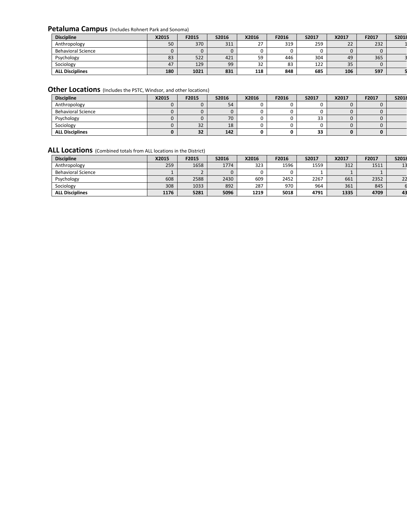#### **Petaluma Campus** (Includes Rohnert Park and Sonoma)

| <b>Discipline</b>         | X2015 | F2015 | S2016 | X2016 | F2016 | S2017 | X2017              | F2017 | S2018 |
|---------------------------|-------|-------|-------|-------|-------|-------|--------------------|-------|-------|
| Anthropology              | 50    | 370   | 311   | 27    | 319   | 259   | $\mathbf{a}$<br>22 | 232   |       |
| <b>Behavioral Science</b> |       |       |       |       |       |       |                    |       |       |
| Psychology                | 83    | 522   | 421   | 59    | 446   | 304   | 49                 | 365   |       |
| Sociology                 | 47    | 129   | 99    | 32    | 83    | 122   | 35                 |       |       |
| <b>ALL Disciplines</b>    | 180   | 1021  | 831   | 118   | 848   | 685   | 106                | 597   |       |

### **Other Locations** (Includes the PSTC, Windsor, and other locations)

| <b>Discipline</b>         | X2015 | F2015 | S2016 | X2016 | F2016 | S2017 | X2017 | F2017 | S2018 |
|---------------------------|-------|-------|-------|-------|-------|-------|-------|-------|-------|
| Anthropology              |       |       | 54    |       |       |       |       |       |       |
| <b>Behavioral Science</b> |       |       |       |       |       |       |       |       |       |
| Psychology                |       |       | 70    |       |       | 33    |       |       |       |
| Sociology                 |       | 32    | 18    |       |       |       |       |       |       |
| <b>ALL Disciplines</b>    |       | 32    | 142   |       |       | 33    |       |       |       |

### **ALL Locations** (Combined totals from ALL locations in the District)

| <b>Discipline</b>         | X2015 | F2015 | S2016 | X2016 | F2016 | S2017 | X2017 | F2017 | S2018 |
|---------------------------|-------|-------|-------|-------|-------|-------|-------|-------|-------|
| Anthropology              | 259   | 1658  | 1774  | 323   | 1596  | 1559  | 312   | 1511  |       |
| <b>Behavioral Science</b> |       |       |       |       |       |       |       |       |       |
| Psychology                | 608   | 2588  | 2430  | 609   | 2452  | 2267  | 661   | 2352  | 22    |
| Sociology                 | 308   | 1033  | 892   | 287   | 970   | 964   | 361   | 845   |       |
| <b>ALL Disciplines</b>    | 1176  | 5281  | 5096  | 1219  | 5018  | 4791  | 1335  | 4709  | 43    |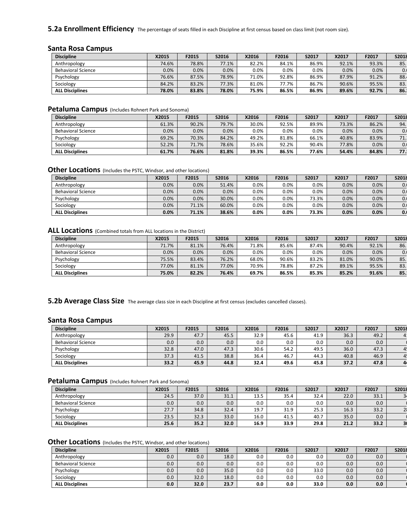#### **5.2a Enrollment Efficiency** The percentage of seats filled in each Discipline at first census based on class limit (not room size).

#### **Santa Rosa Campus**

| <b>Discipline</b>         | X2015 | F2015 | S2016 | X2016 | F2016 | S2017 | X2017 | F2017 | S2018 |
|---------------------------|-------|-------|-------|-------|-------|-------|-------|-------|-------|
| Anthropology              | 74.6% | 78.8% | 77.1% | 82.2% | 84.1% | 86.9% | 92.1% | 93.3% | 85.   |
| <b>Behavioral Science</b> | 0.0%  | 0.0%  | 0.0%  | 0.0%  | 0.0%  | 0.0%  | 0.0%  | 0.0%  | 0.1   |
| Psychology                | 76.6% | 87.5% | 78.9% | 71.0% | 92.8% | 86.9% | 87.9% | 91.2% | 88.   |
| Sociology                 | 84.2% | 83.2% | 77.3% | 81.0% | 77.7% | 86.7% | 90.6% | 95.5% | 83.   |
| <b>ALL Disciplines</b>    | 78.0% | 83.8% | 78.0% | 75.9% | 86.5% | 86.9% | 89.6% | 92.7% | 86.1  |

#### **Petaluma Campus** (Includes Rohnert Park and Sonoma)

| <b>Discipline</b>         | X2015 | F2015 | S2016 | X2016   | F2016   | S2017   | X2017 | F2017 | S2018 |
|---------------------------|-------|-------|-------|---------|---------|---------|-------|-------|-------|
| Anthropology              | 61.3% | 90.2% | 79.7% | 30.0%   | 92.5%   | 89.9%   | 73.3% | 86.2% | 94.   |
| <b>Behavioral Science</b> | 0.0%  | 0.0%  | 0.0%  | $0.0\%$ | $0.0\%$ | $0.0\%$ | 0.0%  | 0.0%  | 0.    |
| Psychology                | 69.2% | 70.3% | 84.2% | 49.2%   | 81.8%   | 66.1%   | 40.8% | 83.9% | 71.1  |
| Sociology                 | 52.2% | 71.7% | 78.6% | 35.6%   | 92.2%   | 90.4%   | 77.8% | 0.0%  | 0.1   |
| <b>ALL Disciplines</b>    | 61.7% | 76.6% | 81.8% | 39.3%   | 86.5%   | 77.6%   | 54.4% | 84.8% | 77.1  |

#### **Other Locations** (Includes the PSTC, Windsor, and other locations)

| <b>Discipline</b>         | X2015   | F2015 | S2016 | X2016   | F2016   | S2017   | X2017 | F2017 | S2018 |
|---------------------------|---------|-------|-------|---------|---------|---------|-------|-------|-------|
| Anthropology              | $0.0\%$ | 0.0%  | 51.4% | $0.0\%$ | $0.0\%$ | 0.0%    | 0.0%  | 0.0%  | 0.1   |
| <b>Behavioral Science</b> | $0.0\%$ | 0.0%  | 0.0%  | $0.0\%$ | $0.0\%$ | $0.0\%$ | 0.0%  | 0.0%  | 0.1   |
| Psychology                | $0.0\%$ | 0.0%  | 30.0% | $0.0\%$ | $0.0\%$ | 73.3%   | 0.0%  | 0.0%  | 0.I   |
| Sociology                 | $0.0\%$ | 71.1% | 60.0% | $0.0\%$ | $0.0\%$ | $0.0\%$ | 0.0%  | 0.0%  | 0.    |
| <b>ALL Disciplines</b>    | $0.0\%$ | 71.1% | 38.6% | 0.0%    | 0.0%    | 73.3%   | 0.0%  | 0.0%  | 0.1   |

#### **ALL Locations** (Combined totals from ALL locations in the District)

| <b>Discipline</b>         | X2015   | F2015 | S2016 | X2016   | F2016   | S2017   | X2017 | F2017 | S2018 |
|---------------------------|---------|-------|-------|---------|---------|---------|-------|-------|-------|
| Anthropology              | 71.7%   | 81.1% | 76.4% | 71.8%   | 85.6%   | 87.4%   | 90.4% | 92.1% | 86.   |
| <b>Behavioral Science</b> | $0.0\%$ | 0.0%  | 0.0%  | $0.0\%$ | $0.0\%$ | $0.0\%$ | 0.0%  | 0.0%  | 0.1   |
| Psychology                | 75.5%   | 83.4% | 76.2% | 68.0%   | 90.6%   | 83.2%   | 81.0% | 90.0% | 85.   |
| Sociology                 | 77.0%   | 81.1% | 77.0% | 70.9%   | 78.8%   | 87.2%   | 89.1% | 95.5% | 83.   |
| <b>ALL Disciplines</b>    | 75.0%   | 82.2% | 76.4% | 69.7%   | 86.5%   | 85.3%   | 85.2% | 91.6% | 85.1  |

**5.2b Average Class Size** The average class size in each Discipline at first census (excludes cancelled classes).

#### **Santa Rosa Campus**

| <b>Discipline</b>         | X2015 | F2015 | S2016 | X2016   | F2016 | S2017 | X2017 | F2017 | <b>S2018</b>   |
|---------------------------|-------|-------|-------|---------|-------|-------|-------|-------|----------------|
| Anthropology              | 29.9  | 47.7  | 45.5  | 32.9    | 45.6  | 41.9  | 36.3  | 49.2  | $\overline{4}$ |
| <b>Behavioral Science</b> | 0.0   | 0.0   | 0.0   | $0.0\,$ | 0.0   | 0.0   | 0.0   | 0.0   |                |
| Psychology                | 32.8  | 47.0  | 47.3  | 30.6    | 54.2  | 49.5  | 36.0  | 47.3  |                |
| Sociology                 | 37.3  | 41.5  | 38.8  | 36.4    | 46.7  | 44.3  | 40.8  | 46.9  | $\overline{4}$ |
| <b>ALL Disciplines</b>    | 33.2  | 45.9  | 44.8  | 32.4    | 49.6  | 45.8  | 37.2  | 47.8  |                |

#### **Petaluma Campus** (Includes Rohnert Park and Sonoma)

| <b>Discipline</b>         | X2015 | F2015 | S2016 | X2016 | F2016 | S2017 | X2017 | F2017 | S2018          |
|---------------------------|-------|-------|-------|-------|-------|-------|-------|-------|----------------|
| Anthropology              | 24.5  | 37.0  | 31.1  | 13.5  | 35.4  | 32.4  | 22.0  | 33.1  | $\overline{a}$ |
| <b>Behavioral Science</b> | 0.0   | 0.0   | 0.0   | 0.0   | 0.0   | 0.0   | 0.0   | 0.0   |                |
| Psychology                | 27.7  | 34.8  | 32.4  | 19.7  | 31.9  | 25.3  | 16.3  | 33.2  |                |
| Sociology                 | 23.5  | 32.3  | 33.0  | 16.0  | 41.5  | 40.7  | 35.0  | 0.0   |                |
| <b>ALL Disciplines</b>    | 25.6  | 35.2  | 32.0  | 16.9  | 33.9  | 29.8  | 21.2  | 33.2  |                |

#### **Other Locations** (Includes the PSTC, Windsor, and other locations)

| <b>Discipline</b>         | X2015 | F2015 | <b>S2016</b> | X2016 | F2016   | S2017 | X2017 | F2017 | <b>S2018</b> |
|---------------------------|-------|-------|--------------|-------|---------|-------|-------|-------|--------------|
| Anthropology              | 0.0   | 0.0   | 18.0         | 0.0   | $0.0\,$ | 0.0   | 0.0   | 0.0   |              |
| <b>Behavioral Science</b> | 0.0   | 0.0   | 0.0          | 0.0   | 0.0     | 0.0   | 0.0   | 0.0   |              |
| Psychology                | 0.0   | 0.0   | 35.0         | 0.0   | 0.0     | 33.0  | 0.0   | 0.0   |              |
| Sociology                 | 0.0   | 32.0  | 18.0         | 0.0   | $0.0\,$ | 0.0   | 0.0   | 0.0   |              |
| <b>ALL Disciplines</b>    | 0.0   | 32.0  | 23.7         | 0.0   | 0.0     | 33.0  | 0.0   | 0.0   |              |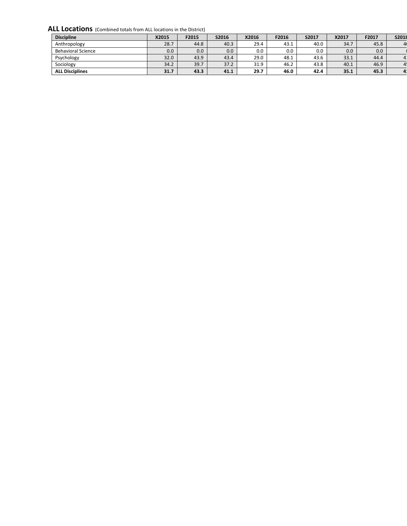ALL Locations (Combined totals from ALL locations in the District)

| <b>Discipline</b>         | X2015 | F2015 | S2016 | X2016 | F2016 | S2017 | X2017 | F2017 | <b>S2018</b>   |
|---------------------------|-------|-------|-------|-------|-------|-------|-------|-------|----------------|
| Anthropology              | 28.7  | 44.8  | 40.3  | 29.4  | 43.1  | 40.0  | 34.7  | 45.8  |                |
| <b>Behavioral Science</b> | 0.0   | 0.0   | 0.0   | 0.0   | 0.0   | 0.0   | 0.0   | 0.0   |                |
| Psychology                | 32.0  | 43.9  | 43.4  | 29.0  | 48.1  | 43.6  | 33.1  | 44.4  | $\mathbf{4}$   |
| Sociology                 | 34.2  | 39.7  | 37.2  | 31.9  | 46.2  | 43.8  | 40.1  | 46.9  | $\overline{4}$ |
| <b>ALL Disciplines</b>    | 31.7  | 43.3  | 41.1  | 29.7  | 46.0  | 42.4  | 35.1  | 45.3  | $\mathbf{4}$   |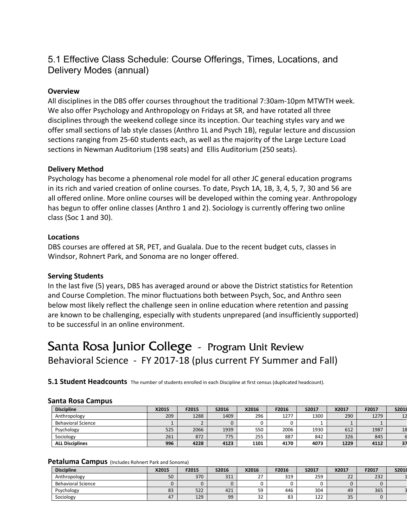## 5.1 Effective Class Schedule: Course Offerings, Times, Locations, and Delivery Modes (annual)

### **Overview**

All disciplines in the DBS offer courses throughout the traditional 7:30am-10pm MTWTH week. We also offer Psychology and Anthropology on Fridays at SR, and have rotated all three disciplines through the weekend college since its inception. Our teaching styles vary and we offer small sections of lab style classes (Anthro 1L and Psych 1B), regular lecture and discussion sections ranging from 25-60 students each, as well as the majority of the Large Lecture Load sections in Newman Auditorium (198 seats) and Ellis Auditorium (250 seats).

### **Delivery Method**

Psychology has become a phenomenal role model for all other JC general education programs in its rich and varied creation of online courses. To date, Psych 1A, 1B, 3, 4, 5, 7, 30 and 56 are all offered online. More online courses will be developed within the coming year. Anthropology has begun to offer online classes (Anthro 1 and 2). Sociology is currently offering two online class (Soc 1 and 30).

### **Locations**

DBS courses are offered at SR, PET, and Gualala. Due to the recent budget cuts, classes in Windsor, Rohnert Park, and Sonoma are no longer offered.

### **Serving Students**

In the last five (5) years, DBS has averaged around or above the District statistics for Retention and Course Completion. The minor fluctuations both between Psych, Soc, and Anthro seen below most likely reflect the challenge seen in online education where retention and passing are known to be challenging, especially with students unprepared (and insufficiently supported) to be successful in an online environment.

# Santa Rosa Junior College - Program Unit Review Behavioral Science - FY 2017-18 (plus current FY Summer and Fall)

**5.1 Student Headcounts** The number of students enrolled in each Discipline at first census (duplicated headcount).

#### **Santa Rosa Campus**

| <b>Discipline</b>         | X2015 | F2015 | S2016 | X2016 | F2016 | S2017 | X2017 | F2017 | S2018 |
|---------------------------|-------|-------|-------|-------|-------|-------|-------|-------|-------|
| Anthropology              | 209   | 1288  | 1409  | 296   | 1277  | 1300  | 290   | 1279  |       |
| <b>Behavioral Science</b> |       |       |       |       |       |       |       |       |       |
| Psychology                | 525   | 2066  | 1939  | 550   | 2006  | 1930  | 612   | 1987  |       |
| Sociology                 | 261   | 872   | 775   | 255   | 887   | 842   | 326   | 845   |       |
| <b>ALL Disciplines</b>    | 996   | 4228  | 4123  | 1101  | 4170  | 4073  | 1229  | 4112  | 37    |

#### **Petaluma Campus** (Includes Rohnert Park and Sonoma)

| <b>Discipline</b>         | X2015 | F2015 | S2016 | X2016 | F2016 | S2017 | X2017              | F2017 | S2018 |
|---------------------------|-------|-------|-------|-------|-------|-------|--------------------|-------|-------|
| Anthropology              | 50    | 370   | 311   | 27    | 319   | 259   | $\mathbf{a}$<br>22 | 232   |       |
| <b>Behavioral Science</b> |       |       |       | ◠     |       |       |                    |       |       |
| Psychology                | 83    | 522   | 421   | 59    | 446   | 304   | 49                 | 365   |       |
| Sociology                 | 47    | 129   | 99    | 32    | 83    | 122   | 35<br>ر ر          |       |       |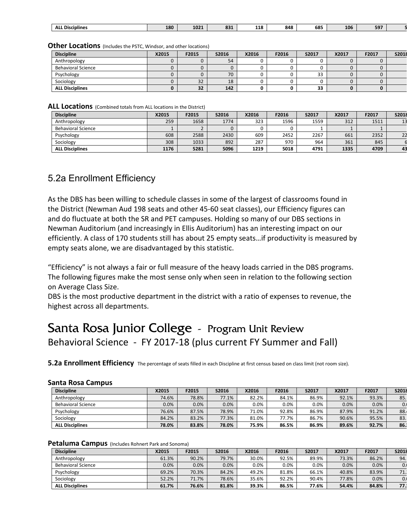| $\sim$<br>$\cdot$<br><b>AL</b><br><b>Disciplines</b> | 180 | 1021 | $\mathbf{a}$<br>03. | 118<br>and the control of the control of the | 848 | 685 | 106 | 597 |  |
|------------------------------------------------------|-----|------|---------------------|----------------------------------------------|-----|-----|-----|-----|--|
|                                                      |     |      |                     |                                              |     |     |     |     |  |

**Other Locations** (Includes the PSTC, Windsor, and other locations)

| <b>Discipline</b>         | X2015 | F2015 | S2016 | X2016 | F2016 | S2017 | X2017 | F2017 | S2018 |
|---------------------------|-------|-------|-------|-------|-------|-------|-------|-------|-------|
| Anthropology              |       |       | 54    |       |       |       |       |       |       |
| <b>Behavioral Science</b> |       |       |       |       |       |       |       |       |       |
| Psychology                |       |       | 70    |       |       | 33    |       |       |       |
| Sociology                 |       | 32    | 18    |       |       |       |       |       |       |
| <b>ALL Disciplines</b>    |       | 32    | 142   |       |       | 33    |       |       |       |

|  | ALL Locations (Combined totals from ALL locations in the District) |  |  |  |  |  |  |
|--|--------------------------------------------------------------------|--|--|--|--|--|--|
|--|--------------------------------------------------------------------|--|--|--|--|--|--|

| <b>Discipline</b>         | X2015 | F2015 | S2016 | X2016 | F2016 | S2017 | X2017 | F2017 | S2018          |
|---------------------------|-------|-------|-------|-------|-------|-------|-------|-------|----------------|
| Anthropology              | 259   | 1658  | 1774  | 323   | 1596  | 1559  | 312   | 1511  |                |
| <b>Behavioral Science</b> |       |       |       |       |       |       |       | -     |                |
| Psychology                | 608   | 2588  | 2430  | 609   | 2452  | 2267  | 661   | 2352  | 22             |
| Sociology                 | 308   | 1033  | 892   | 287   | 970   | 964   | 361   | 845   |                |
| <b>ALL Disciplines</b>    | 1176  | 5281  | 5096  | 1219  | 5018  | 4791  | 1335  | 4709  | 4 <sub>3</sub> |

### 5.2a Enrollment Efficiency

As the DBS has been willing to schedule classes in some of the largest of classrooms found in the District (Newman Aud 198 seats and other 45-60 seat classes), our Efficiency figures can and do fluctuate at both the SR and PET campuses. Holding so many of our DBS sections in Newman Auditorium (and increasingly in Ellis Auditorium) has an interesting impact on our efficiently. A class of 170 students still has about 25 empty seats…if productivity is measured by empty seats alone, we are disadvantaged by this statistic.

"Efficiency" is not always a fair or full measure of the heavy loads carried in the DBS programs. The following figures make the most sense only when seen in relation to the following section on Average Class Size.

DBS is the most productive department in the district with a ratio of expenses to revenue, the highest across all departments.

# Santa Rosa Junior College - Program Unit Review Behavioral Science - FY 2017-18 (plus current FY Summer and Fall)

**5.2a Enrollment Efficiency** The percentage of seats filled in each Discipline at first census based on class limit (not room size).

#### **Santa Rosa Campus**

| <b>Discipline</b>         | X2015   | F2015 | S2016 | X2016   | F2016 | S2017 | X2017 | F2017 | S2018 |
|---------------------------|---------|-------|-------|---------|-------|-------|-------|-------|-------|
| Anthropology              | 74.6%   | 78.8% | 77.1% | 82.2%   | 84.1% | 86.9% | 92.1% | 93.3% | 85.   |
| <b>Behavioral Science</b> | $0.0\%$ | 0.0%  | 0.0%  | $0.0\%$ | 0.0%  | 0.0%  | 0.0%  | 0.0%  | 0.1   |
| Psychology                | 76.6%   | 87.5% | 78.9% | 71.0%   | 92.8% | 86.9% | 87.9% | 91.2% | 88.   |
| Sociology                 | 84.2%   | 83.2% | 77.3% | 81.0%   | 77.7% | 86.7% | 90.6% | 95.5% | 83.   |
| <b>ALL Disciplines</b>    | 78.0%   | 83.8% | 78.0% | 75.9%   | 86.5% | 86.9% | 89.6% | 92.7% | 86.1  |

#### **Petaluma Campus** (Includes Rohnert Park and Sonoma)

| <b>Discipline</b>         | X2015   | F2015 | S2016 | X2016 | F2016   | S2017   | X2017 | F2017 | S2018 |
|---------------------------|---------|-------|-------|-------|---------|---------|-------|-------|-------|
| Anthropology              | 61.3%   | 90.2% | 79.7% | 30.0% | 92.5%   | 89.9%   | 73.3% | 86.2% | 94.   |
| <b>Behavioral Science</b> | $0.0\%$ | 0.0%  | 0.0%  | 0.0%  | $0.0\%$ | $0.0\%$ | 0.0%  | 0.0%  | 0.1   |
| Psychology                | 69.2%   | 70.3% | 84.2% | 49.2% | 81.8%   | 66.1%   | 40.8% | 83.9% | 71.1  |
| Sociology                 | 52.2%   | 71.7% | 78.6% | 35.6% | 92.2%   | 90.4%   | 77.8% | 0.0%  | 0.1   |
| <b>ALL Disciplines</b>    | 61.7%   | 76.6% | 81.8% | 39.3% | 86.5%   | 77.6%   | 54.4% | 84.8% | 77.1  |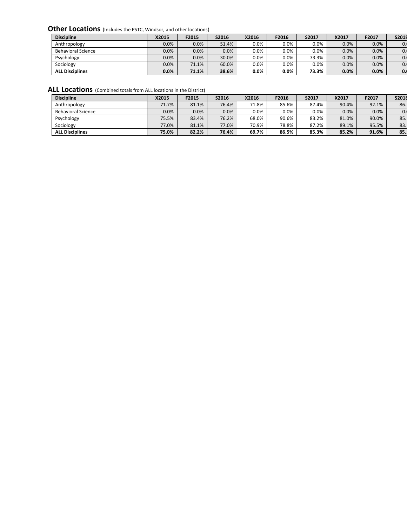**Other Locations** (Includes the PSTC, Windsor, and other locations)

| <b>Discipline</b>         | X2015 | F2015   | S2016   | X2016   | F2016   | S2017 | X2017 | F2017 | S2018 |
|---------------------------|-------|---------|---------|---------|---------|-------|-------|-------|-------|
| Anthropology              | 0.0%  | $0.0\%$ | 51.4%   | $0.0\%$ | 0.0%    | 0.0%  | 0.0%  | 0.0%  | 0.1   |
| <b>Behavioral Science</b> | 0.0%  | 0.0%    | $0.0\%$ | $0.0\%$ | $0.0\%$ | 0.0%  | 0.0%  | 0.0%  | 0.    |
| Psychology                | 0.0%  | $0.0\%$ | 30.0%   | $0.0\%$ | 0.0%    | 73.3% | 0.0%  | 0.0%  | 0.1   |
| Sociology                 | 0.0%  | 71.1%   | 60.0%   | $0.0\%$ | $0.0\%$ | 0.0%  | 0.0%  | 0.0%  | 0.1   |
| <b>ALL Disciplines</b>    | 0.0%  | 71.1%   | 38.6%   | 0.0%    | $0.0\%$ | 73.3% | 0.0%  | 0.0%  | 0.0   |

#### ALL Locations (Combined totals from ALL locations in the District)

| <b>Discipline</b>         | X2015 | F2015 | S2016 | X2016   | F2016   | S2017   | X2017 | F2017 | S2018 |
|---------------------------|-------|-------|-------|---------|---------|---------|-------|-------|-------|
| Anthropology              | 71.7% | 81.1% | 76.4% | 71.8%   | 85.6%   | 87.4%   | 90.4% | 92.1% | 86.   |
| <b>Behavioral Science</b> | 0.0%  | 0.0%  | 0.0%  | $0.0\%$ | $0.0\%$ | $0.0\%$ | 0.0%  | 0.0%  | 0.1   |
| Psychology                | 75.5% | 83.4% | 76.2% | 68.0%   | 90.6%   | 83.2%   | 81.0% | 90.0% | 85.   |
| Sociology                 | 77.0% | 81.1% | 77.0% | 70.9%   | 78.8%   | 87.2%   | 89.1% | 95.5% | 83.   |
| <b>ALL Disciplines</b>    | 75.0% | 82.2% | 76.4% | 69.7%   | 86.5%   | 85.3%   | 85.2% | 91.6% | 85.1  |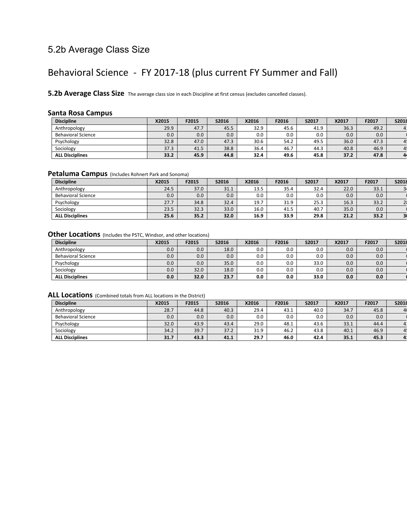## 5.2b Average Class Size

# Behavioral Science - FY 2017-18 (plus current FY Summer and Fall)

**5.2b Average Class Size** The average class size in each Discipline at first census (excludes cancelled classes).

#### **Santa Rosa Campus**

| <b>Discipline</b>         | X2015 | F2015 | S2016            | X2016 | F2016 | S2017 | X2017 | F2017 | <b>S2018</b>   |
|---------------------------|-------|-------|------------------|-------|-------|-------|-------|-------|----------------|
| Anthropology              | 29.9  | 47.7  | 45.5             | 32.9  | 45.6  | 41.9  | 36.3  | 49.2  | $\overline{4}$ |
| <b>Behavioral Science</b> | 0.0   | 0.0   | 0.0 <sub>1</sub> | 0.0   | 0.0   | 0.0   | 0.0   | 0.0   |                |
| Psychology                | 32.8  | 47.0  | 47.3             | 30.6  | 54.2  | 49.5  | 36.0  | 47.3  | $\overline{4}$ |
| Sociology                 | 37.3  | 41.5  | 38.8             | 36.4  | 46.7  | 44.3  | 40.8  | 46.9  | $\overline{4}$ |
| <b>ALL Disciplines</b>    | 33.2  | 45.9  | 44.8             | 32.4  | 49.6  | 45.8  | 37.2  | 47.8  |                |

#### **Petaluma Campus** (Includes Rohnert Park and Sonoma)

| <b>Discipline</b>         | X2015 | F2015 | <b>S2016</b> | X2016 | F2016 | S2017 | X2017 | F2017 | S2018          |
|---------------------------|-------|-------|--------------|-------|-------|-------|-------|-------|----------------|
| Anthropology              | 24.5  | 37.0  | 31.1         | 13.5  | 35.4  | 32.4  | 22.0  | 33.1  | $\overline{a}$ |
| <b>Behavioral Science</b> | 0.0   | 0.0   | 0.0          | 0.0   | 0.0   | 0.0   | 0.0   | 0.0   |                |
| Psychology                | 27.7  | 34.8  | 32.4         | 19.7  | 31.9  | 25.3  | 16.3  | 33.2  |                |
| Sociology                 | 23.5  | 32.3  | 33.0         | 16.0  | 41.5  | 40.7  | 35.0  | 0.0   |                |
| <b>ALL Disciplines</b>    | 25.6  | 35.2  | 32.0         | 16.9  | 33.9  | 29.8  | 21.2  | 33.2  |                |

#### **Other Locations** (Includes the PSTC, Windsor, and other locations)

| <b>Discipline</b>         | X2015 | F2015 | S2016 | X2016 | F2016 | S2017 | X2017 | F2017 | <b>S2018</b> |
|---------------------------|-------|-------|-------|-------|-------|-------|-------|-------|--------------|
| Anthropology              | 0.0   | 0.0   | 18.0  | 0.0   | 0.0   | 0.0   | 0.0   | 0.0   |              |
| <b>Behavioral Science</b> | 0.0   | 0.0   | 0.0   | 0.0   | 0.0   | 0.0   | 0.0   | 0.0   |              |
| Psychology                | 0.0   | 0.0   | 35.0  | 0.0   | 0.0   | 33.0  | 0.0   | 0.0   |              |
| Sociology                 | 0.0   | 32.0  | 18.0  | 0.0   | 0.0   | 0.0   | 0.0   | 0.0   |              |
| <b>ALL Disciplines</b>    | 0.0   | 32.0  | 23.7  | 0.0   | 0.0   | 33.0  | 0.0   | 0.0   |              |

### **ALL Locations** (Combined totals from ALL locations in the District)

| <b>Discipline</b>         | X2015 | F2015 | S2016            | X2016 | F2016   | S2017 | X2017 | F2017 | S2018          |
|---------------------------|-------|-------|------------------|-------|---------|-------|-------|-------|----------------|
| Anthropology              | 28.7  | 44.8  | 40.3             | 29.4  | 43.1    | 40.0  | 34.7  | 45.8  |                |
| <b>Behavioral Science</b> | 0.0   | 0.0   | 0.0 <sub>1</sub> | 0.0   | $0.0\,$ | 0.0   | 0.0   | 0.0   |                |
| Psychology                | 32.0  | 43.9  | 43.4             | 29.0  | 48.1    | 43.6  | 33.1  | 44.4  | 4              |
| Sociology                 | 34.2  | 39.7  | 37.2             | 31.9  | 46.2    | 43.8  | 40.1  | 46.9  | $\overline{4}$ |
| <b>ALL Disciplines</b>    | 31.7  | 43.3  | 41.1             | 29.7  | 46.0    | 42.4  | 35.1  | 45.3  | 4 <sup>1</sup> |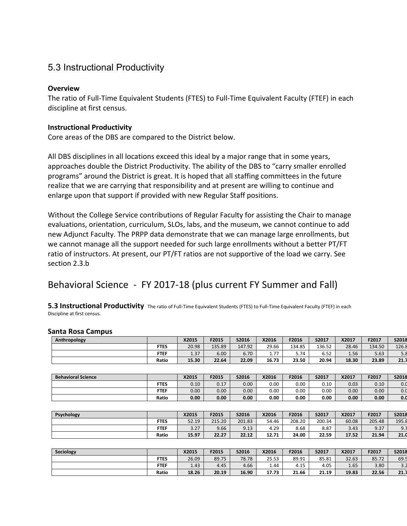## 5.3 Instructional Productivity

### **Overview**

The ratio of Full-Time Equivalent Students (FTES) to Full-Time Equivalent Faculty (FTEF) in each discipline at first census.

### **Instructional Productivity**

Core areas of the DBS are compared to the District below.

All DBS disciplines in all locations exceed this ideal by a major range that in some years, approaches double the District Productivity. The ability of the DBS to "carry smaller enrolled programs" around the District is great. It is hoped that all staffing committees in the future realize that we are carrying that responsibility and at present are willing to continue and enlarge upon that support if provided with new Regular Staff positions.

Without the College Service contributions of Regular Faculty for assisting the Chair to manage evaluations, orientation, curriculum, SLOs, labs, and the museum, we cannot continue to add new Adjunct Faculty. The PRPP data demonstrate that we can manage large enrollments, but we cannot manage all the support needed for such large enrollments without a better PT/FT ratio of instructors. At present, our PT/FT ratios are not supportive of the load we carry. See section 2.3.b

## Behavioral Science - FY 2017-18 (plus current FY Summer and Fall)

**5.3 Instructional Productivity** The ratio of Full-Time Equivalent Students (FTES) to Full-Time Equivalent Faculty (FTEF) in each Discipline at first census.

### **Santa Rosa Campus**

| Anthropology              |             | X2015 | F2015  | S2016  | X2016 | F2016  | S2017  | X2017 | F2017  | <b>S2018</b> |
|---------------------------|-------------|-------|--------|--------|-------|--------|--------|-------|--------|--------------|
|                           | <b>FTES</b> | 20.98 | 135.89 | 147.92 | 29.66 | 134.85 | 136.52 | 28.46 | 134.50 | 126.8        |
|                           | <b>FTEF</b> | 1.37  | 6.00   | 6.70   | 1.77  | 5.74   | 6.52   | 1.56  | 5.63   | 5.8          |
|                           | Ratio       | 15.30 | 22.64  | 22.09  | 16.73 | 23.50  | 20.94  | 18.30 | 23.89  | 21.7         |
|                           |             |       |        |        |       |        |        |       |        |              |
| <b>Behavioral Science</b> |             | X2015 | F2015  | S2016  | X2016 | F2016  | S2017  | X2017 | F2017  | <b>S2018</b> |
|                           | <b>FTES</b> | 0.10  | 0.17   | 0.00   | 0.00  | 0.00   | 0.10   | 0.03  | 0.10   | 0.0          |
|                           | <b>FTEF</b> | 0.00  | 0.00   | 0.00   | 0.00  | 0.00   | 0.00   | 0.00  | 0.00   | 0.0          |
|                           | Ratio       | 0.00  | 0.00   | 0.00   | 0.00  | 0.00   | 0.00   | 0.00  | 0.00   | 0.0          |
|                           |             |       |        |        |       |        |        |       |        |              |
| Psychology                |             | X2015 | F2015  | S2016  | X2016 | F2016  | S2017  | X2017 | F2017  | <b>S2018</b> |
|                           | <b>FTES</b> | 52.19 | 215.20 | 201.83 | 54.46 | 208.20 | 200.34 | 60.08 | 205.48 | 195.8        |
|                           | <b>FTEF</b> | 3.27  | 9.66   | 9.13   | 4.29  | 8.68   | 8.87   | 3.43  | 9.37   | 9.3          |
|                           | Ratio       | 15.97 | 22.27  | 22.12  | 12.71 | 24.00  | 22.59  | 17.52 | 21.94  | 21.0         |
|                           |             |       |        |        |       |        |        |       |        |              |
| Sociology                 |             | X2015 | F2015  | S2016  | X2016 | F2016  | S2017  | X2017 | F2017  | <b>S2018</b> |
|                           | <b>FTES</b> | 26.09 | 89.75  | 78.78  | 25.53 | 89.91  | 85.81  | 32.63 | 85.72  | 69.5         |
|                           |             |       |        |        |       |        |        |       |        |              |

**Ratio 18.26 20.19 16.90 17.73 21.66 21.19 19.83 22.56 21.7**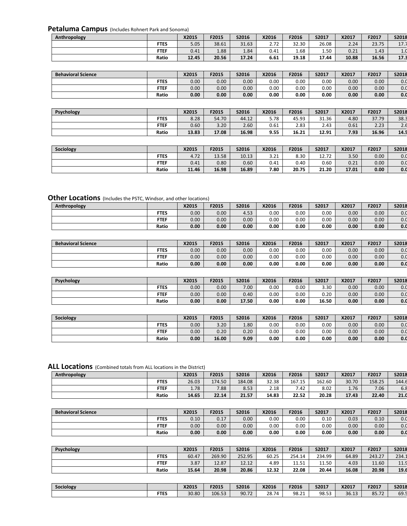**Petaluma Campus** (Includes Rohnert Park and Sonoma)

| Anthropology |             | X2015 | F2015 | S2016 | X2016          | F2016 | S2017 | X2017 | F2017 | S2018          |
|--------------|-------------|-------|-------|-------|----------------|-------|-------|-------|-------|----------------|
|              | <b>FTES</b> | 5.05  | 38.61 | 31.63 | 2.72<br>2. I 2 | 32.30 | 26.08 | 2.24  | 23.75 | 17.7           |
|              | <b>FTEF</b> | 0.41  | 1.88  | 1.84  | 0.41           | 1.68  | 1.50  | 0.21  | 1.43  | 1 <sub>0</sub> |
|              | Ratio       | 12.45 | 20.56 | 17.24 | 6.61           | 19.18 | 17.44 | 10.88 | 16.56 | 17.3           |

| <b>Behavioral Science</b> |             | X2015 | F2015 | S2016 | X2016 | F2016 | S2017 | X2017 | F2017 | S2018 |
|---------------------------|-------------|-------|-------|-------|-------|-------|-------|-------|-------|-------|
|                           | <b>FTES</b> | 0.00  | 0.00  | 0.00  | 0.00  | 0.00  | 0.00  | 0.00  | 0.00  | 0.0   |
|                           | <b>FTEF</b> | 0.00  | 0.00  | 0.00  | 0.00  | 0.00  | 0.00  | 0.00  | 0.00  | 0.0   |
|                           | Ratio       | 0.00  | 0.00  | 0.00  | 0.00  | 0.00  | 0.00  | 0.00  | 0.00  | 0.0   |

| Psychology |             | X2015 | F2015 | S2016 | X2016 | F2016 | S2017 | X2017 | F2017 | S2018         |
|------------|-------------|-------|-------|-------|-------|-------|-------|-------|-------|---------------|
|            | <b>FTES</b> | 8.28  | 54.70 | 44.12 | 5.78  | 45.93 | 31.36 | 4.80  | 37.79 | 38.3          |
|            | <b>FTEF</b> | 0.60  | 3.20  | 2.60  | 0.61  | 2.83  | 2.43  | 0.61  | 2.23  | $\sim$<br>z.a |
|            | Ratio       | 13.83 | 17.08 | 16.98 | 9.55  | 16.21 | 12.91 | 7.93  | 16.96 | 14.5          |

| Sociology |             | X2015 | F2015 | S2016 | X2016 | F2016 | S2017        | X2017 | F2017 | S2018           |
|-----------|-------------|-------|-------|-------|-------|-------|--------------|-------|-------|-----------------|
|           | <b>FTES</b> | 4.72  | 13.58 | 10.13 | 3.21  | 8.30  | 127<br>14.IL | 3.50  | 0.00  | 0.0             |
|           | <b>FTEF</b> | 0.41  | 0.80  | 0.60  | 0.41  | 0.40  | 0.60         | 0.21  | 0.00  | 0.0             |
|           | Ratio       | 11.46 | 16.98 | 16.89 | 7.80  | 20.75 | 21.20        | 17.01 | 0.00  | 0. <sub>C</sub> |

# **Other Locations** (Includes the PSTC, Windsor, and other locations)

| Anthropology |             | X2015 | F2015 | S2016             | X2016 | F2016 | S2017 | X2017 | F2017             | S2018 |
|--------------|-------------|-------|-------|-------------------|-------|-------|-------|-------|-------------------|-------|
|              | <b>FTES</b> | 0.00  | 0.00  | 4.53              | 0.00  | 0.00  | 0.00  | 0.00  | 0.00 <sub>1</sub> | 0.0   |
|              | <b>FTEF</b> | 0.00  | 0.00  | 0.00 <sub>1</sub> | 0.00  | 0.00  | 0.00  | 0.00  | 0.00              | 0.0   |
|              | Ratio       | 0.00  | 0.00  | 0.00 <sub>1</sub> | 0.00  | 0.00  | 0.00  | 0.00  | 0.00              | 0.0   |

| <b>Behavioral Science</b> |             | X2015             | F2015 | S2016             | X2016 | F2016 | S2017 | X2017 | F2017 | S2018 |
|---------------------------|-------------|-------------------|-------|-------------------|-------|-------|-------|-------|-------|-------|
|                           | <b>FTES</b> | 0.00              | 0.00  | 0.00              | 0.00  | 0.00  | 0.00  | 0.00  | 0.00  | 0.0   |
|                           | <b>FTEF</b> | 0.00 <sub>1</sub> | 0.00  | 0.00 <sub>1</sub> | 0.00  | 0.00  | 0.00  | 0.00  | 0.00  | 0.0   |
|                           | Ratio       | 0.00              | 0.00  | 0.00              | 0.00  | 0.00  | 0.00  | 0.00  | 0.00  | 0.0   |

| Psychology |             | X2015 | F2015 | S2016 | X2016 | F2016 | S2017 | X2017             | F2017 | S2018 |
|------------|-------------|-------|-------|-------|-------|-------|-------|-------------------|-------|-------|
|            | <b>FTES</b> | 0.00  | 0.00  | 7.00  | 0.00  | 0.00  | 3.30  | 0.00              | 0.00  | 0.0   |
|            | <b>FTEF</b> | 0.00  | 0.00  | 0.40  | 0.00  | 0.00  | 0.20  | 0.00 <sub>1</sub> | 0.00  | 0.0   |
|            | Ratio       | 0.00  | 0.00  | 17.50 | 0.00  | 0.00  | 16.50 | 0.00              | 0.00  | 0.0   |

| Sociology |             | X2015 | F2015 | S2016             | X2016 | F2016    | S2017 | X2017 | F2017 | S2018 |
|-----------|-------------|-------|-------|-------------------|-------|----------|-------|-------|-------|-------|
|           | <b>FTES</b> | 0.00  | 3.20  | 1.80 <sub>1</sub> | 0.00  | 0.00     | 0.00  | 0.00  | 0.00  | 0.0   |
|           | <b>FTEF</b> | 0.00  | 0.20  | 0.20              | 0.00  | $0.00\,$ | 0.00  | 0.00  | 0.00  | 0.0   |
|           | Ratio       | 0.00  | 16.00 | 9.09              | 0.00  | 0.00     | 0.00  | 0.00  | 0.00  | 0.0   |

### **ALL Locations** (Combined totals from ALL locations in the District)

| Anthropology |             | X2015 | F2015  | S2016  | X2016 | F2016  | S2017  | X2017 | F2017  | S2018 |
|--------------|-------------|-------|--------|--------|-------|--------|--------|-------|--------|-------|
|              | <b>FTES</b> | 26.03 | 174.50 | 184.08 | 32.38 | 167.15 | 162.60 | 30.70 | 158.25 | 144.6 |
|              | <b>FTEF</b> | 1.78  | 7.88   | 8.53   | 2.18  | 7.42   | 8.02   | 1.76  | 7.06   | 6.8   |
|              | Ratio       | 14.65 | 22.14  | 21.57  | 14.83 | 22.52  | 20.28  | 17.43 | 22.40  | 21.0  |

| <b>Behavioral Science</b> |             | X2015 | F2015 | S2016    | X2016 | F2016 | S2017 | X2017 | F2017 | S2018 |
|---------------------------|-------------|-------|-------|----------|-------|-------|-------|-------|-------|-------|
|                           | <b>FTES</b> | 0.10  | 0.17  | $0.00\,$ | 0.00  | 0.00  | 0.10  | 0.03  | 0.10  | 0.0   |
|                           | <b>FTEF</b> | 0.00  | 0.00  | 0.00     | 0.00  | 0.00  | 0.00  | 0.00  | 0.00  | 0.0   |
|                           | Ratio       | 0.00  | 0.00  | 0.00     | 0.00  | 0.00  | 0.00  | 0.00  | 0.00  | 0.0   |

| Psychology |             | X2015 | F2015  | S2016  | X2016 | F2016  | S2017  | X2017 | F2017  | S2018 |
|------------|-------------|-------|--------|--------|-------|--------|--------|-------|--------|-------|
|            | <b>FTES</b> | 60.47 | 269.90 | 252.95 | 60.25 | 254.14 | 234.99 | 64.89 | 243.27 | 234.1 |
|            | <b>FTEF</b> | 3.87  | 12.87  | 12.12  | 4.89  | 11.51  | 11.50  | 4.03  | 11.60  | 11.9  |
|            | Ratio       | 15.64 | 20.98  | 20.86  | 12.32 | 22.08  | 20.44  | 16.08 | 20.98  | 19.6  |

| Sociology |             | X2015 | F2015  | S2016 | X2016                        | F2016 | S2017 | X2017 | F2017 | <b>S2018</b> |
|-----------|-------------|-------|--------|-------|------------------------------|-------|-------|-------|-------|--------------|
|           | <b>FTES</b> | 30.80 | 106.53 | 90.72 | $\rightarrow$<br>າດ<br>28.74 | 98.21 | 98.53 | 36.13 | 85.72 | 69.5         |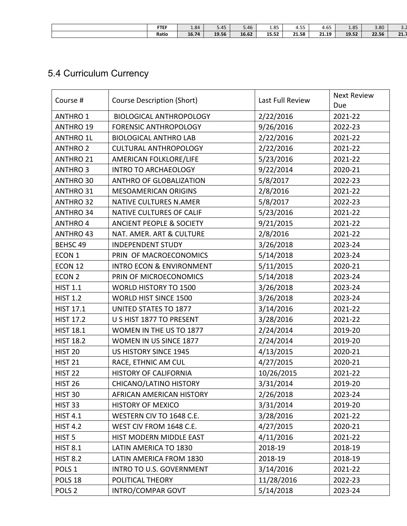| <b>FTEF</b> | 1.84  | 5.45  | 3.46  | 1.85                 | $- -$<br>4.ວ⊳ | $\sim$ $\sim$<br>4.bS | 1.85  | 3.80  | ∽<br>ے ۔ |
|-------------|-------|-------|-------|----------------------|---------------|-----------------------|-------|-------|----------|
| Ratio       | 16.74 | 19.56 | 16.62 | <b>1552</b><br>15.54 | 21.58         | 21.19                 | 19.52 | 22.56 | 21.7     |
|             |       |       |       |                      |               |                       |       |       |          |

# 5.4 Curriculum Currency

| Course #           | <b>Course Description (Short)</b>   | Last Full Review | <b>Next Review</b><br>Due |
|--------------------|-------------------------------------|------------------|---------------------------|
| <b>ANTHRO 1</b>    | <b>BIOLOGICAL ANTHROPOLOGY</b>      | 2/22/2016        | 2021-22                   |
| <b>ANTHRO 19</b>   | <b>FORENSIC ANTHROPOLOGY</b>        | 9/26/2016        | 2022-23                   |
| <b>ANTHRO 1L</b>   | <b>BIOLOGICAL ANTHRO LAB</b>        | 2/22/2016        | 2021-22                   |
| <b>ANTHRO 2</b>    | <b>CULTURAL ANTHROPOLOGY</b>        | 2/22/2016        | 2021-22                   |
| <b>ANTHRO 21</b>   | AMERICAN FOLKLORE/LIFE              | 5/23/2016        | 2021-22                   |
| <b>ANTHRO 3</b>    | <b>INTRO TO ARCHAEOLOGY</b>         | 9/22/2014        | 2020-21                   |
| ANTHRO 30          | <b>ANTHRO OF GLOBALIZATION</b>      | 5/8/2017         | 2022-23                   |
| ANTHRO 31          | <b>MESOAMERICAN ORIGINS</b>         | 2/8/2016         | 2021-22                   |
| <b>ANTHRO 32</b>   | <b>NATIVE CULTURES N.AMER</b>       | 5/8/2017         | 2022-23                   |
| <b>ANTHRO 34</b>   | <b>NATIVE CULTURES OF CALIF</b>     | 5/23/2016        | 2021-22                   |
| <b>ANTHRO 4</b>    | <b>ANCIENT PEOPLE &amp; SOCIETY</b> | 9/21/2015        | 2021-22                   |
| ANTHRO 43          | NAT. AMER. ART & CULTURE            | 2/8/2016         | 2021-22                   |
| BEHSC 49           | <b>INDEPENDENT STUDY</b>            | 3/26/2018        | 2023-24                   |
| ECON 1             | PRIN OF MACROECONOMICS              | 5/14/2018        | 2023-24                   |
| ECON 12            | <b>INTRO ECON &amp; ENVIRONMENT</b> | 5/11/2015        | 2020-21                   |
| ECON <sub>2</sub>  | PRIN OF MICROECONOMICS              | 5/14/2018        | 2023-24                   |
| <b>HIST 1.1</b>    | WORLD HISTORY TO 1500               | 3/26/2018        | 2023-24                   |
| <b>HIST 1.2</b>    | WORLD HIST SINCE 1500               | 3/26/2018        | 2023-24                   |
| <b>HIST 17.1</b>   | UNITED STATES TO 1877               | 3/14/2016        | 2021-22                   |
| <b>HIST 17.2</b>   | U S HIST 1877 TO PRESENT            | 3/28/2016        | 2021-22                   |
| <b>HIST 18.1</b>   | WOMEN IN THE US TO 1877             | 2/24/2014        | 2019-20                   |
| <b>HIST 18.2</b>   | WOMEN IN US SINCE 1877              | 2/24/2014        | 2019-20                   |
| HIST <sub>20</sub> | <b>US HISTORY SINCE 1945</b>        | 4/13/2015        | 2020-21                   |
| <b>HIST 21</b>     | RACE, ETHNIC AM CUL                 | 4/27/2015        | 2020-21                   |
| HIST <sub>22</sub> | <b>HISTORY OF CALIFORNIA</b>        | 10/26/2015       | 2021-22                   |
| <b>HIST 26</b>     | <b>CHICANO/LATINO HISTORY</b>       | 3/31/2014        | 2019-20                   |
| HIST 30            | AFRICAN AMERICAN HISTORY            | 2/26/2018        | 2023-24                   |
| HIST 33            | <b>HISTORY OF MEXICO</b>            | 3/31/2014        | 2019-20                   |
| <b>HIST 4.1</b>    | WESTERN CIV TO 1648 C.E.            | 3/28/2016        | 2021-22                   |
| <b>HIST 4.2</b>    | WEST CIV FROM 1648 C.E.             | 4/27/2015        | 2020-21                   |
| HIST <sub>5</sub>  | HIST MODERN MIDDLE EAST             | 4/11/2016        | 2021-22                   |
| <b>HIST 8.1</b>    | LATIN AMERICA TO 1830               | 2018-19          | 2018-19                   |
| <b>HIST 8.2</b>    | LATIN AMERICA FROM 1830             | 2018-19          | 2018-19                   |
| POLS <sub>1</sub>  | INTRO TO U.S. GOVERNMENT            | 3/14/2016        | 2021-22                   |
| POLS <sub>18</sub> | POLITICAL THEORY                    | 11/28/2016       | 2022-23                   |
| POLS <sub>2</sub>  | INTRO/COMPAR GOVT                   | 5/14/2018        | 2023-24                   |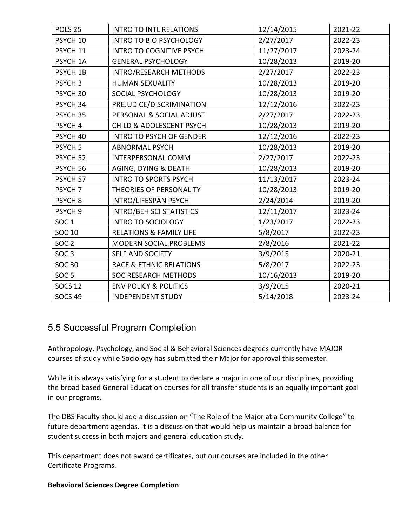| POLS <sub>25</sub>  | <b>INTRO TO INTL RELATIONS</b>      | 12/14/2015 | 2021-22 |
|---------------------|-------------------------------------|------------|---------|
| PSYCH <sub>10</sub> | <b>INTRO TO BIO PSYCHOLOGY</b>      | 2/27/2017  | 2022-23 |
| PSYCH 11            | <b>INTRO TO COGNITIVE PSYCH</b>     | 11/27/2017 | 2023-24 |
| PSYCH <sub>1A</sub> | <b>GENERAL PSYCHOLOGY</b>           | 10/28/2013 | 2019-20 |
| PSYCH 1B            | <b>INTRO/RESEARCH METHODS</b>       | 2/27/2017  | 2022-23 |
| PSYCH <sub>3</sub>  | <b>HUMAN SEXUALITY</b>              | 10/28/2013 | 2019-20 |
| PSYCH <sub>30</sub> | SOCIAL PSYCHOLOGY                   | 10/28/2013 | 2019-20 |
| PSYCH <sub>34</sub> | PREJUDICE/DISCRIMINATION            | 12/12/2016 | 2022-23 |
| PSYCH <sub>35</sub> | PERSONAL & SOCIAL ADJUST            | 2/27/2017  | 2022-23 |
| PSYCH <sub>4</sub>  | <b>CHILD &amp; ADOLESCENT PSYCH</b> | 10/28/2013 | 2019-20 |
| PSYCH 40            | <b>INTRO TO PSYCH OF GENDER</b>     | 12/12/2016 | 2022-23 |
| PSYCH <sub>5</sub>  | <b>ABNORMAL PSYCH</b>               | 10/28/2013 | 2019-20 |
| PSYCH <sub>52</sub> | <b>INTERPERSONAL COMM</b>           | 2/27/2017  | 2022-23 |
| PSYCH <sub>56</sub> | AGING, DYING & DEATH                | 10/28/2013 | 2019-20 |
| PSYCH <sub>57</sub> | <b>INTRO TO SPORTS PSYCH</b>        | 11/13/2017 | 2023-24 |
| PSYCH <sub>7</sub>  | THEORIES OF PERSONALITY             | 10/28/2013 | 2019-20 |
| PSYCH <sub>8</sub>  | INTRO/LIFESPAN PSYCH                | 2/24/2014  | 2019-20 |
| PSYCH <sub>9</sub>  | <b>INTRO/BEH SCI STATISTICS</b>     | 12/11/2017 | 2023-24 |
| SOC <sub>1</sub>    | <b>INTRO TO SOCIOLOGY</b>           | 1/23/2017  | 2022-23 |
| <b>SOC 10</b>       | <b>RELATIONS &amp; FAMILY LIFE</b>  | 5/8/2017   | 2022-23 |
| SOC <sub>2</sub>    | <b>MODERN SOCIAL PROBLEMS</b>       | 2/8/2016   | 2021-22 |
| SOC <sub>3</sub>    | SELF AND SOCIETY                    | 3/9/2015   | 2020-21 |
| <b>SOC 30</b>       | <b>RACE &amp; ETHNIC RELATIONS</b>  | 5/8/2017   | 2022-23 |
| SOC <sub>5</sub>    | <b>SOC RESEARCH METHODS</b>         | 10/16/2013 | 2019-20 |
| <b>SOCS 12</b>      | <b>ENV POLICY &amp; POLITICS</b>    | 3/9/2015   | 2020-21 |
| <b>SOCS 49</b>      | <b>INDEPENDENT STUDY</b>            | 5/14/2018  | 2023-24 |

### 5.5 Successful Program Completion

Anthropology, Psychology, and Social & Behavioral Sciences degrees currently have MAJOR courses of study while Sociology has submitted their Major for approval this semester.

While it is always satisfying for a student to declare a major in one of our disciplines, providing the broad based General Education courses for all transfer students is an equally important goal in our programs.

The DBS Faculty should add a discussion on "The Role of the Major at a Community College" to future department agendas. It is a discussion that would help us maintain a broad balance for student success in both majors and general education study.

This department does not award certificates, but our courses are included in the other Certificate Programs.

### **Behavioral Sciences Degree Completion**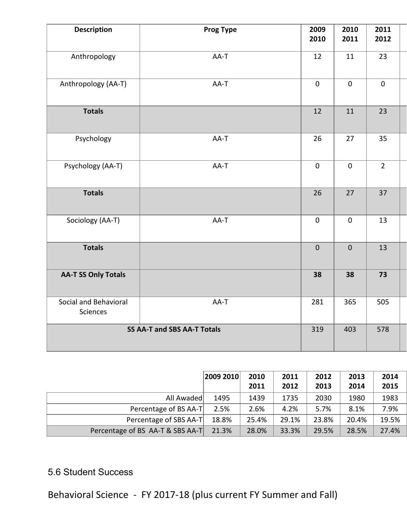| <b>Description</b>                | <b>Prog Type</b>                   | 2009<br>2010     | 2010<br>2011   | 2011<br>2012   |  |
|-----------------------------------|------------------------------------|------------------|----------------|----------------|--|
| Anthropology                      | AA-T                               | 12               | 11             | 23             |  |
| Anthropology (AA-T)               | AA-T                               | $\pmb{0}$        | $\mathbf 0$    | $\pmb{0}$      |  |
| <b>Totals</b>                     |                                    | 12               | 11             | 23             |  |
| Psychology                        | AA-T                               | 26               | 27             | 35             |  |
| Psychology (AA-T)                 | AA-T                               | $\boldsymbol{0}$ | $\mathbf 0$    | $\overline{2}$ |  |
| <b>Totals</b>                     |                                    | 26               | 27             | 37             |  |
| Sociology (AA-T)                  | AA-T                               | $\mathbf 0$      | $\mathbf 0$    | 13             |  |
| <b>Totals</b>                     |                                    | $\mathbf 0$      | $\overline{0}$ | 13             |  |
| <b>AA-T SS Only Totals</b>        |                                    | 38               | 38             | 73             |  |
| Social and Behavioral<br>Sciences | AA-T                               | 281              | 365            | 505            |  |
|                                   | <b>SS AA-T and SBS AA-T Totals</b> | 319              | 403            | 578            |  |

|                                  | 2009 2010 | 2010  | 2011  | 2012  | 2013  | 2014  |
|----------------------------------|-----------|-------|-------|-------|-------|-------|
|                                  |           | 2011  | 2012  | 2013  | 2014  | 2015  |
| All Awaded                       | 1495      | 1439  | 1735  | 2030  | 1980  | 1983  |
| Percentage of BS AA-T            | 2.5%      | 2.6%  | 4.2%  | 5.7%  | 8.1%  | 7.9%  |
| Percentage of SBS AA-T           | 18.8%     | 25.4% | 29.1% | 23.8% | 20.4% | 19.5% |
| Percentage of BS AA-T & SBS AA-T | 21.3%     | 28.0% | 33.3% | 29.5% | 28.5% | 27.4% |

5.6 Student Success

Behavioral Science - FY 2017-18 (plus current FY Summer and Fall)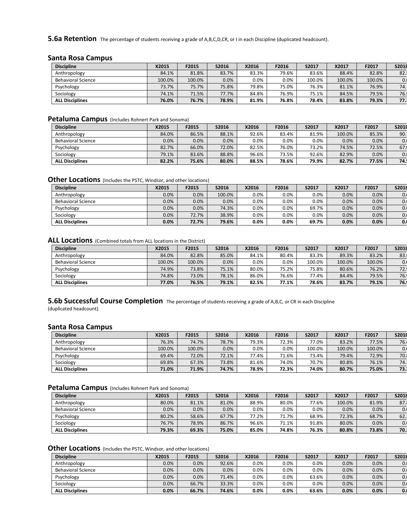**5.6a Retention** The percentage of students receiving a grade of A,B,C,D,CR, or I in each Discipline (duplicated headcount).

#### **Santa Rosa Campus**

| <b>Discipline</b>         | X2015  | F2015  | S2016   | X2016 | F2016 | S2017  | X2017  | F2017  | S2018 |
|---------------------------|--------|--------|---------|-------|-------|--------|--------|--------|-------|
| Anthropology              | 84.1%  | 81.8%  | 83.7%   | 83.3% | 79.6% | 83.6%  | 88.4%  | 82.8%  | 82.   |
| <b>Behavioral Science</b> | 100.0% | 100.0% | $0.0\%$ | 0.0%  | 0.0%  | 100.0% | 100.0% | 100.0% | 0.    |
| Psychology                | 73.7%  | 75.7%  | 75.8%   | 79.8% | 75.0% | 76.3%  | 81.1%  | 76.9%  | 74.   |
| Sociology                 | 74.1%  | 71.5%  | 77.7%   | 84.8% | 76.9% | 75.1%  | 84.5%  | 79.5%  | 76.   |
| <b>ALL Disciplines</b>    | 76.0%  | 76.7%  | 78.9%   | 81.9% | 76.8% | 78.4%  | 83.8%  | 79.3%  | 77.1  |

#### **Petaluma Campus** (Includes Rohnert Park and Sonoma)

| <b>Discipline</b>         | X2015 | F2015 | S2016 | X2016 | F2016   | S2017 | X2017  | F2017 | S2018 |
|---------------------------|-------|-------|-------|-------|---------|-------|--------|-------|-------|
| Anthropology              | 84.0% | 86.5% | 88.1% | 92.6% | 83.4%   | 81.9% | 100.0% | 85.3% | 90.1  |
| <b>Behavioral Science</b> | 0.0%  | 0.0%  | 0.0%  | 0.0%  | $0.0\%$ | 0.0%  | 0.0%   | 0.0%  | 0.    |
| Psychology                | 82.7% | 66.0% | 72.0% | 82.5% | 76.0%   | 73.2% | 74.5%  | 72.5% | 67.   |
| Sociology                 | 79.1% | 83.6% | 88.8% | 96.6% | 73.5%   | 92.6% | 82.9%  | 0.0%  | 0.    |
| <b>ALL Disciplines</b>    | 82.2% | 75.6% | 80.0% | 88.5% | 78.6%   | 79.9% | 82.7%  | 77.5% | 74.1  |

#### **Other Locations** (Includes the PSTC, Windsor, and other locations)

| <b>Discipline</b>         | X2015   | F2015 | S2016  | X2016   | F2016   | S2017   | X2017 | F2017 | S2018 |
|---------------------------|---------|-------|--------|---------|---------|---------|-------|-------|-------|
| Anthropology              | $0.0\%$ | 0.0%  | 100.0% | $0.0\%$ | 0.0%    | $0.0\%$ | 0.0%  | 0.0%  | 0.1   |
| <b>Behavioral Science</b> | $0.0\%$ | 0.0%  | 0.0%   | $0.0\%$ | 0.0%    | $0.0\%$ | 0.0%  | 0.0%  | 0.1   |
| Psychology                | 0.0%    | 0.0%  | 74.3%  | $0.0\%$ | 0.0%    | 69.7%   | 0.0%  | 0.0%  | 0.1   |
| Sociology                 | $0.0\%$ | 72.7% | 38.9%  | $0.0\%$ | 0.0%    | 0.0%    | 0.0%  | 0.0%  | 0.1   |
| <b>ALL Disciplines</b>    | 0.0%    | 72.7% | 79.6%  | 0.0%    | $0.0\%$ | 69.7%   | 0.0%  | 0.0%  | 0.    |

#### **ALL Locations** (Combined totals from ALL locations in the District)

| <b>Discipline</b>         | X2015  | F2015  | S2016 | X2016   | F2016   | S2017  | X2017  | F2017  | S2018 |
|---------------------------|--------|--------|-------|---------|---------|--------|--------|--------|-------|
| Anthropology              | 84.0%  | 82.8%  | 85.0% | 84.1%   | 80.4%   | 83.3%  | 89.3%  | 83.2%  | 83.   |
| <b>Behavioral Science</b> | 100.0% | 100.0% | 0.0%  | $0.0\%$ | $0.0\%$ | 100.0% | 100.0% | 100.0% | 0.1   |
| Psychology                | 74.9%  | 73.8%  | 75.1% | 80.0%   | 75.2%   | 75.8%  | 80.6%  | 76.2%  | 72.1  |
| Sociology                 | 74.8%  | 73.0%  | 78.1% | 86.0%   | 76.6%   | 77.4%  | 84.4%  | 79.5%  | 76.1  |
| <b>ALL Disciplines</b>    | 77.0%  | 76.5%  | 79.1% | 82.5%   | 77.1%   | 78.6%  | 83.7%  | 79.1%  | 76.   |

**5.6b Successful Course Completion** The percentage of students receiving a grade of A,B,C, or CR in each Discipline (duplicated headcount).

#### **Santa Rosa Campus**

| <b>Discipline</b>         | X2015  | F2015  | S2016   | X2016 | F2016 | S2017  | X2017  | F2017  | S2018 |
|---------------------------|--------|--------|---------|-------|-------|--------|--------|--------|-------|
| Anthropology              | 76.3%  | 74.7%  | 78.7%   | 79.3% | 72.3% | 77.0%  | 83.2%  | 77.5%  | 76.   |
| <b>Behavioral Science</b> | 100.0% | 100.0% | $0.0\%$ | 0.0%  | 0.0%  | 100.0% | 100.0% | 100.0% | 0.    |
| Psychology                | 69.4%  | 72.0%  | 72.1%   | 77.4% | 71.6% | 73.4%  | 79.4%  | 72.9%  | 70.   |
| Sociology                 | 69.8%  | 67.3%  | 73.8%   | 81.6% | 74.0% | 70.7%  | 80.8%  | 76.1%  | 74.1  |
| <b>ALL Disciplines</b>    | 71.0%  | 71.9%  | 74.7%   | 78.9% | 72.3% | 74.0%  | 80.7%  | 75.0%  | 73.   |

#### **Petaluma Campus** (Includes Rohnert Park and Sonoma)

| <b>Discipline</b>         | X2015   | F2015 | S2016 | X2016   | F2016   | S2017   | X2017  | F2017 | S2018 |
|---------------------------|---------|-------|-------|---------|---------|---------|--------|-------|-------|
| Anthropology              | 80.0%   | 81.1% | 81.0% | 88.9%   | 80.0%   | 77.6%   | 100.0% | 81.9% | 87.   |
| <b>Behavioral Science</b> | $0.0\%$ | 0.0%  | 0.0%  | $0.0\%$ | $0.0\%$ | $0.0\%$ | 0.0%   | 0.0%  | 0.    |
| Psychology                | 80.2%   | 58.6% | 67.7% | 77.2%   | 71.7%   | 68.9%   | 72.3%  | 68.7% | 62.1  |
| Sociology                 | 76.7%   | 78.9% | 86.7% | 96.6%   | 71.1%   | 91.8%   | 80.0%  | 0.0%  | 0.1   |
| <b>ALL Disciplines</b>    | 79.3%   | 69.3% | 75.0% | 85.0%   | 74.8%   | 76.3%   | 80.8%  | 73.8% | 70.1  |

**Other Locations** (Includes the PSTC, Windsor, and other locations)

| <b>Discipline</b>         | X2015   | F2015 | S2016   | X2016   | F2016   | S2017   | X2017 | F2017 | S2018 |
|---------------------------|---------|-------|---------|---------|---------|---------|-------|-------|-------|
| Anthropology              | $0.0\%$ | 0.0%  | 92.6%   | $0.0\%$ | $0.0\%$ | $0.0\%$ | 0.0%  | 0.0%  | 0.1   |
| <b>Behavioral Science</b> | $0.0\%$ | 0.0%  | $0.0\%$ | $0.0\%$ | $0.0\%$ | $0.0\%$ | 0.0%  | 0.0%  | 0.    |
| Psychology                | $0.0\%$ | 0.0%  | 71.4%   | $0.0\%$ | $0.0\%$ | 63.6%   | 0.0%  | 0.0%  | 0.1   |
| Sociology                 | $0.0\%$ | 66.7% | 33.3%   | $0.0\%$ | $0.0\%$ | $0.0\%$ | 0.0%  | 0.0%  | 0.1   |
| <b>ALL Disciplines</b>    | $0.0\%$ | 66.7% | 74.6%   | 0.0%    | $0.0\%$ | 63.6%   | 0.0%  | 0.0%  | 0.1   |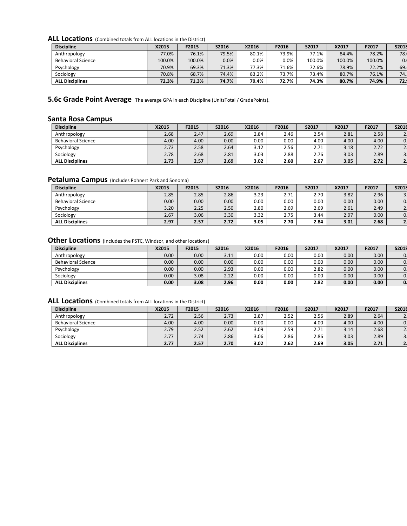#### **ALL Locations** (Combined totals from ALL locations in the District)

| <b>Discipline</b>         | X2015  | F2015  | S2016   | X2016   | F2016   | S2017  | X2017  | F2017  | S2018 |
|---------------------------|--------|--------|---------|---------|---------|--------|--------|--------|-------|
| Anthropology              | 77.0%  | 76.1%  | 79.5%   | 80.1%   | 73.9%   | 77.1%  | 84.4%  | 78.2%  | 78.   |
| <b>Behavioral Science</b> | 100.0% | 100.0% | $0.0\%$ | $0.0\%$ | $0.0\%$ | 100.0% | 100.0% | 100.0% | 0.    |
| Psychology                | 70.9%  | 69.3%  | 71.3%   | 77.3%   | 71.6%   | 72.6%  | 78.9%  | 72.2%  | 69.   |
| Sociology                 | 70.8%  | 68.7%  | 74.4%   | 83.2%   | 73.7%   | 73.4%  | 80.7%  | 76.1%  | 74.1  |
| <b>ALL Disciplines</b>    | 72.3%  | 71.3%  | 74.7%   | 79.4%   | 72.7%   | 74.3%  | 80.7%  | 74.9%  | 72.1  |

**5.6c Grade Point Average** The average GPA in each Discipline (UnitsTotal / GradePoints).

### **Santa Rosa Campus**

| <b>Discipline</b>         | X2015 | F2015 | S2016 | X2016 | F2016 | S2017 | X2017 | F2017 | S2018 |
|---------------------------|-------|-------|-------|-------|-------|-------|-------|-------|-------|
| Anthropology              | 2.68  | 2.47  | 2.69  | 2.84  | 2.46  | 2.54  | 2.81  | 2.58  |       |
| <b>Behavioral Science</b> | 4.00  | 4.00  | 0.00  | 0.00  | 0.00  | 4.00  | 4.00  | 4.00  |       |
| Psychology                | 2.73  | 2.58  | 2.64  | 3.12  | 2.56  | 2.71  | 3.18  | 2.72  |       |
| Sociology                 | 2.78  | 2.68  | 2.81  | 3.03  | 2.88  | 2.76  | 3.03  | 2.89  |       |
| <b>ALL Disciplines</b>    | 2.73  | 2.57  | 2.69  | 3.02  | 2.60  | 2.67  | 3.05  | 2.72  |       |

#### **Petaluma Campus** (Includes Rohnert Park and Sonoma)

| <b>Discipline</b>         | X2015 | F2015 | S2016 | X2016 | F2016 | S2017 | X2017 | F2017 | S2018 |
|---------------------------|-------|-------|-------|-------|-------|-------|-------|-------|-------|
| Anthropology              | 2.85  | 2.85  | 2.86  | 3.23  | 2.71  | 2.70  | 3.82  | 2.96  |       |
| <b>Behavioral Science</b> | 0.00  | 0.00  | 0.00  | 0.00  | 0.00  | 0.00  | 0.00  | 0.00  |       |
| Psychology                | 3.20  | 2.25  | 2.50  | 2.80  | 2.69  | 2.69  | 2.61  | 2.49  |       |
| Sociology                 | 2.67  | 3.06  | 3.30  | 3.32  | 2.75  | 3.44  | 2.97  | 0.00  |       |
| <b>ALL Disciplines</b>    | 2.97  | 2.57  | 2.72  | 3.05  | 2.70  | 2.84  | 3.01  | 2.68  |       |

#### **Other Locations** (Includes the PSTC, Windsor, and other locations)

| <b>Discipline</b>         | X2015 | F2015 | S2016 | X2016 | F2016 | S2017 | X2017 | F2017 | S2018 |
|---------------------------|-------|-------|-------|-------|-------|-------|-------|-------|-------|
| Anthropology              | 0.00  | 0.00  | 3.11  | 0.00  | 0.00  | 0.00  | 0.00  | 0.00  |       |
| <b>Behavioral Science</b> | 0.00  | 0.00  | 0.00  | 0.00  | 0.00  | 0.00  | 0.00  | 0.00  |       |
| Psychology                | 0.00  | 0.00  | 2.93  | 0.00  | 0.00  | 2.82  | 0.00  | 0.00  |       |
| Sociology                 | 0.00  | 3.08  | 2.22  | 0.00  | 0.00  | 0.00  | 0.00  | 0.00  |       |
| <b>ALL Disciplines</b>    | 0.00  | 3.08  | 2.96  | 0.00  | 0.00  | 2.82  | 0.00  | 0.00  | 0.    |

#### **ALL Locations** (Combined totals from ALL locations in the District)

| <b>Discipline</b>         | X2015 | F2015 | S2016 | X2016    | F2016 | S2017 | X2017 | F2017 | S2018 |
|---------------------------|-------|-------|-------|----------|-------|-------|-------|-------|-------|
| Anthropology              | 2.72  | 2.56  | 2.73  | 2.87     | 2.52  | 2.56  | 2.89  | 2.64  |       |
| <b>Behavioral Science</b> | 4.00  | 4.00  | 0.00  | $0.00\,$ | 0.00  | 4.00  | 4.00  | 4.00  |       |
| Psychology                | 2.79  | 2.52  | 2.62  | 3.09     | 2.59  | 2.71  | 3.14  | 2.68  |       |
| Sociology                 | 2.77  | 2.74  | 2.86  | 3.06     | 2.86  | 2.86  | 3.03  | 2.89  |       |
| <b>ALL Disciplines</b>    | 2.77  | 2.57  | 2.70  | 3.02     | 2.62  | 2.69  | 3.05  | 2.71  |       |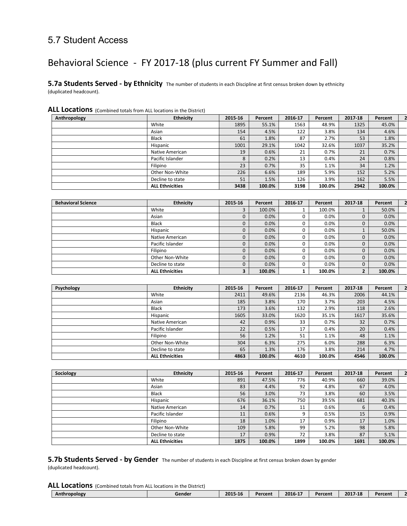### 5.7 Student Access

## Behavioral Science - FY 2017-18 (plus current FY Summer and Fall)

**5.7a Students Served - by Ethnicity** The number of students in each Discipline at first census broken down by ethnicity (duplicated headcount).

#### **ALL Locations** (Combined totals from ALL locations in the District)

| Anthropology | <b>Ethnicity</b>       | 2015-16 | Percent | 2016-17 | Percent | 2017-18 | Percent |  |
|--------------|------------------------|---------|---------|---------|---------|---------|---------|--|
|              | White                  | 1895    | 55.1%   | 1563    | 48.9%   | 1325    | 45.0%   |  |
|              | Asian                  | 154     | 4.5%    | 122     | 3.8%    | 134     | 4.6%    |  |
|              | <b>Black</b>           | 61      | 1.8%    | 87      | 2.7%    | 53      | 1.8%    |  |
|              | Hispanic               | 1001    | 29.1%   | 1042    | 32.6%   | 1037    | 35.2%   |  |
|              | Native American        | 19      | 0.6%    | 21      | 0.7%    | 21      | 0.7%    |  |
|              | Pacific Islander       | 8       | 0.2%    | 13      | 0.4%    | 24      | 0.8%    |  |
|              | Filipino               | 23      | 0.7%    | 35      | 1.1%    | 34      | 1.2%    |  |
|              | Other Non-White        | 226     | 6.6%    | 189     | 5.9%    | 152     | 5.2%    |  |
|              | Decline to state       | 51      | 1.5%    | 126     | 3.9%    | 162     | 5.5%    |  |
|              | <b>ALL Ethnicities</b> | 3438    | 100.0%  | 3198    | 100.0%  | 2942    | 100.0%  |  |

| <b>Behavioral Science</b> | <b>Ethnicity</b>       | 2015-16  | Percent | 2016-17 | Percent | 2017-18  | Percent |  |
|---------------------------|------------------------|----------|---------|---------|---------|----------|---------|--|
|                           | White                  | 3        | 100.0%  |         | 100.0%  |          | 50.0%   |  |
|                           | Asian                  |          | 0.0%    |         | 0.0%    | 0        | 0.0%    |  |
|                           | <b>Black</b>           | 0        | 0.0%    |         | 0.0%    | $\Omega$ | 0.0%    |  |
|                           | Hispanic               | 0        | 0.0%    |         | 0.0%    |          | 50.0%   |  |
|                           | Native American        | $\Omega$ | 0.0%    |         | 0.0%    | 0        | 0.0%    |  |
|                           | Pacific Islander       | 0        | 0.0%    |         | 0.0%    |          | 0.0%    |  |
|                           | Filipino               | 0        | 0.0%    |         | 0.0%    | 0        | 0.0%    |  |
|                           | Other Non-White        | $\Omega$ | 0.0%    |         | 0.0%    | $\Omega$ | 0.0%    |  |
|                           | Decline to state       | 0        | 0.0%    |         | 0.0%    |          | 0.0%    |  |
|                           | <b>ALL Ethnicities</b> | 3        | 100.0%  |         | 100.0%  |          | 100.0%  |  |

| Psychology | <b>Ethnicity</b>       | 2015-16 | Percent | 2016-17 | Percent | 2017-18 | Percent |  |
|------------|------------------------|---------|---------|---------|---------|---------|---------|--|
|            | White                  | 2411    | 49.6%   | 2136    | 46.3%   | 2006    | 44.1%   |  |
|            | Asian                  | 185     | 3.8%    | 170     | 3.7%    | 203     | 4.5%    |  |
|            | Black                  | 173     | 3.6%    | 132     | 2.9%    | 118     | 2.6%    |  |
|            | Hispanic               | 1605    | 33.0%   | 1620    | 35.1%   | 1617    | 35.6%   |  |
|            | Native American        | 42      | 0.9%    | 33      | 0.7%    | 32      | 0.7%    |  |
|            | Pacific Islander       | 22      | 0.5%    | 17      | 0.4%    | 20      | 0.4%    |  |
|            | Filipino               | 56      | 1.2%    | 51      | 1.1%    | 48      | 1.1%    |  |
|            | Other Non-White        | 304     | 6.3%    | 275     | 6.0%    | 288     | 6.3%    |  |
|            | Decline to state       | 65      | 1.3%    | 176     | 3.8%    | 214     | 4.7%    |  |
|            | <b>ALL Ethnicities</b> | 4863    | 100.0%  | 4610    | 100.0%  | 4546    | 100.0%  |  |

| Sociology | <b>Ethnicity</b>       | 2015-16 | Percent | 2016-17 | Percent | 2017-18 | Percent |  |
|-----------|------------------------|---------|---------|---------|---------|---------|---------|--|
|           | White                  | 891     | 47.5%   | 776     | 40.9%   | 660     | 39.0%   |  |
|           | Asian                  | 83      | 4.4%    | 92      | 4.8%    | 67      | 4.0%    |  |
|           | <b>Black</b>           | 56      | 3.0%    | 73      | 3.8%    | 60      | 3.5%    |  |
|           | Hispanic               | 676     | 36.1%   | 750     | 39.5%   | 681     | 40.3%   |  |
|           | Native American        | 14      | 0.7%    | 11      | 0.6%    | b       | 0.4%    |  |
|           | Pacific Islander       | 11      | 0.6%    | 9       | 0.5%    | 15      | 0.9%    |  |
|           | Filipino               | 18      | 1.0%    | 17      | 0.9%    | 17      | 1.0%    |  |
|           | Other Non-White        | 109     | 5.8%    | 99      | 5.2%    | 98      | 5.8%    |  |
|           | Decline to state       | 17      | 0.9%    | 72      | 3.8%    | 87      | 5.1%    |  |
|           | <b>ALL Ethnicities</b> | 1875    | 100.0%  | 1899    | 100.0%  | 1691    | 100.0%  |  |

**5.7b Students Served - by Gender** The number of students in each Discipline at first census broken down by gender (duplicated headcount).

**ALL Locations** (Combined totals from ALL locations in the District)

| --------     |        |         |         |         |         |         |         |  |
|--------------|--------|---------|---------|---------|---------|---------|---------|--|
| Anthropology | Gender | 2015-16 | Percent | 2016-17 | Percent | 2017-18 | Percent |  |
|              |        |         |         |         |         |         |         |  |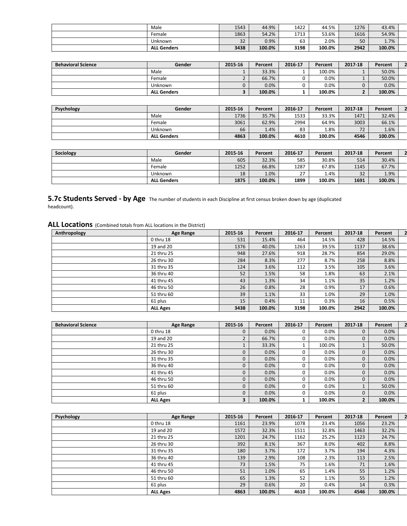|      | 3438<br><b>ALL Genders</b> | 100.0% | 3198 | 100.0% | 2942 | 100.0% |  |
|------|----------------------------|--------|------|--------|------|--------|--|
|      | 32<br>Jnknown              | 0.9%   | 63   | 2.0%   | 50   | 1.7%   |  |
|      | 1863<br>Female             | 54.2%  | 1713 | 53.6%  | 1616 | 54.9%  |  |
| Male | 1543                       | 44.9%  | 1422 | 44.5%  | 1276 | 43.4%  |  |

| <b>Behavioral Science</b> | Gender             | 2015-16 | Percent | 2016-17 | Percent | 2017-18 | Percent |  |
|---------------------------|--------------------|---------|---------|---------|---------|---------|---------|--|
|                           | Male               |         | 33.3%   |         | 100.0%  |         | 50.0%   |  |
|                           | Female             |         | 66.7%   |         | 0.0%    |         | 50.0%   |  |
|                           | Unknown            |         | 0.0%    |         | $0.0\%$ | υ       | 0.0%    |  |
|                           | <b>ALL Genders</b> |         | 100.0%  |         | 100.0%  |         | 100.0%  |  |

| Psychology | Gender             | 2015-16 | Percent | 2016-17 | Percent | 2017-18 | Percent |  |
|------------|--------------------|---------|---------|---------|---------|---------|---------|--|
|            | Male               | 1736    | 35.7%   | 1533    | 33.3%   | 1471    | 32.4%   |  |
|            | Female             | 3061    | 62.9%   | 2994    | 64.9%   | 3003    | 66.1%   |  |
|            | Unknown            | 66      | 1.4%    | 83      | $1.8\%$ | 72      | 1.6%    |  |
|            | <b>ALL Genders</b> | 4863    | 100.0%  | 4610    | 100.0%  | 4546    | 100.0%  |  |

| Sociology | Gender             | 2015-16 | Percent | 2016-17            | Percent | 2017-18 | Percent |  |
|-----------|--------------------|---------|---------|--------------------|---------|---------|---------|--|
|           | Male               | 605     | 32.3%   | 585                | 30.8%   | 514     | 30.4%   |  |
|           | Female             | 1252    | 66.8%   | 1287               | 67.8%   | 1145    | 67.7%   |  |
|           | Unknown            | 18      | $1.0\%$ | $\sim$ $\sim$<br>- | 1.4%    | 32      | 1.9%    |  |
|           | <b>ALL Genders</b> | 1875    | 100.0%  | 1899               | 100.0%  | 1691    | 100.0%  |  |

**5.7c Students Served - by Age** The number of students in each Discipline at first census broken down by age (duplicated headcount).

#### ALL Locations (Combined totals from ALL locations in the District)

| Anthropology | Age Range       | 2015-16 | Percent | 2016-17 | Percent | 2017-18 | Percent |  |
|--------------|-----------------|---------|---------|---------|---------|---------|---------|--|
|              | 0 thru 18       | 531     | 15.4%   | 464     | 14.5%   | 428     | 14.5%   |  |
|              | 19 and 20       | 1376    | 40.0%   | 1263    | 39.5%   | 1137    | 38.6%   |  |
|              | 21 thru 25      | 948     | 27.6%   | 918     | 28.7%   | 854     | 29.0%   |  |
|              | 26 thru 30      | 284     | 8.3%    | 277     | 8.7%    | 258     | 8.8%    |  |
|              | 31 thru 35      | 124     | 3.6%    | 112     | 3.5%    | 105     | 3.6%    |  |
|              | 36 thru 40      | 52      | 1.5%    | 58      | 1.8%    | 63      | 2.1%    |  |
|              | 41 thru 45      | 43      | 1.3%    | 34      | 1.1%    | 35      | 1.2%    |  |
|              | 46 thru 50      | 26      | 0.8%    | 28      | 0.9%    | 17      | 0.6%    |  |
|              | 51 thru 60      | 39      | 1.1%    | 33      | 1.0%    | 29      | 1.0%    |  |
|              | 61 plus         | 15      | 0.4%    | 11      | 0.3%    | 16      | 0.5%    |  |
|              | <b>ALL Ages</b> | 3438    | 100.0%  | 3198    | 100.0%  | 2942    | 100.0%  |  |

| <b>Behavioral Science</b> | Age Range       | 2015-16  | Percent | 2016-17 | Percent | 2017-18      | Percent |  |
|---------------------------|-----------------|----------|---------|---------|---------|--------------|---------|--|
|                           | 0 thru 18       | 0        | 0.0%    |         | 0.0%    | 0            | 0.0%    |  |
|                           | 19 and 20       | C        | 66.7%   |         | 0.0%    | 0            | 0.0%    |  |
|                           | 21 thru 25      |          | 33.3%   |         | 100.0%  |              | 50.0%   |  |
|                           | 26 thru 30      | 0        | 0.0%    |         | 0.0%    | $\mathbf 0$  | 0.0%    |  |
|                           | 31 thru 35      | 0        | 0.0%    |         | 0.0%    | $\mathbf{0}$ | 0.0%    |  |
|                           | 36 thru 40      | 0        | 0.0%    |         | 0.0%    | $\mathbf{0}$ | 0.0%    |  |
|                           | 41 thru 45      | 0        | 0.0%    |         | 0.0%    | 0            | 0.0%    |  |
|                           | 46 thru 50      | 0        | 0.0%    |         | 0.0%    | $\Omega$     | 0.0%    |  |
|                           | 51 thru 60      | 0        | 0.0%    |         | 0.0%    |              | 50.0%   |  |
|                           | 61 plus         | $\Omega$ | 0.0%    |         | 0.0%    | $\Omega$     | 0.0%    |  |
|                           | <b>ALL Ages</b> | 3        | 100.0%  |         | 100.0%  |              | 100.0%  |  |

| Psychology | Age Range       | 2015-16 | Percent | 2016-17 | Percent | 2017-18 | Percent |  |
|------------|-----------------|---------|---------|---------|---------|---------|---------|--|
|            | 0 thru 18       | 1161    | 23.9%   | 1078    | 23.4%   | 1056    | 23.2%   |  |
|            | 19 and 20       | 1572    | 32.3%   | 1511    | 32.8%   | 1463    | 32.2%   |  |
|            | 21 thru 25      | 1201    | 24.7%   | 1162    | 25.2%   | 1123    | 24.7%   |  |
|            | 26 thru 30      | 392     | 8.1%    | 367     | 8.0%    | 402     | 8.8%    |  |
|            | 31 thru 35      | 180     | 3.7%    | 172     | 3.7%    | 194     | 4.3%    |  |
|            | 36 thru 40      | 139     | 2.9%    | 108     | 2.3%    | 113     | 2.5%    |  |
|            | 41 thru 45      | 73      | 1.5%    | 75      | 1.6%    | 71      | 1.6%    |  |
|            | 46 thru 50      | 51      | 1.0%    | 65      | 1.4%    | 55      | 1.2%    |  |
|            | 51 thru 60      | 65      | 1.3%    | 52      | 1.1%    | 55      | 1.2%    |  |
|            | 61 plus         | 29      | 0.6%    | 20      | 0.4%    | 14      | 0.3%    |  |
|            | <b>ALL Ages</b> | 4863    | 100.0%  | 4610    | 100.0%  | 4546    | 100.0%  |  |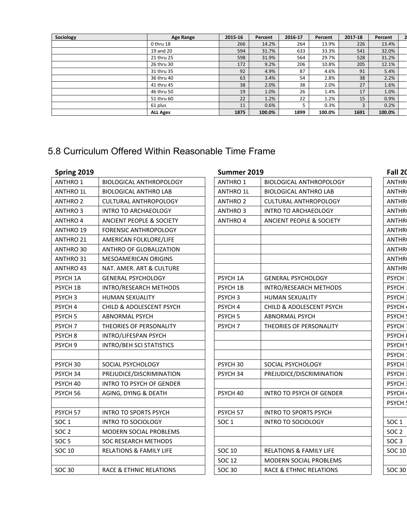| Sociology | Age Range       | 2015-16 | Percent | 2016-17 | Percent | 2017-18 | Percent |  |
|-----------|-----------------|---------|---------|---------|---------|---------|---------|--|
|           | 0 thru 18       | 266     | 14.2%   | 264     | 13.9%   | 226     | 13.4%   |  |
|           | 19 and 20       | 594     | 31.7%   | 633     | 33.3%   | 541     | 32.0%   |  |
|           | 21 thru 25      | 598     | 31.9%   | 564     | 29.7%   | 528     | 31.2%   |  |
|           | 26 thru 30      | 172     | 9.2%    | 206     | 10.8%   | 205     | 12.1%   |  |
|           | 31 thru 35      | 92      | 4.9%    | 87      | 4.6%    | 91      | 5.4%    |  |
|           | 36 thru 40      | 63      | 3.4%    | 54      | 2.8%    | 38      | 2.2%    |  |
|           | 41 thru 45      | 38      | 2.0%    | 38      | 2.0%    | 27      | 1.6%    |  |
|           | 46 thru 50      | 19      | 1.0%    | 26      | 1.4%    | 17      | 1.0%    |  |
|           | 51 thru 60      | 22      | 1.2%    | 22      | 1.2%    | 15      | 0.9%    |  |
|           | 61 plus         | 11      | 0.6%    |         | 0.3%    | 3       | 0.2%    |  |
|           | <b>ALL Ages</b> | 1875    | 100.0%  | 1899    | 100.0%  | 1691    | 100.0%  |  |

# 5.8 Curriculum Offered Within Reasonable Time Frame

| Spring 2019         |                                    | Summer 2019        |                                    |  |  |
|---------------------|------------------------------------|--------------------|------------------------------------|--|--|
| <b>ANTHRO 1</b>     | <b>BIOLOGICAL ANTHROPOLOGY</b>     | <b>ANTHRO 1</b>    | <b>BIOLOGICAL ANTHROPOLOGY</b>     |  |  |
| <b>ANTHRO 1L</b>    | <b>BIOLOGICAL ANTHRO LAB</b>       | <b>ANTHRO 1L</b>   | <b>BIOLOGICAL ANTHRO LAB</b>       |  |  |
| <b>ANTHRO 2</b>     | <b>CULTURAL ANTHROPOLOGY</b>       | <b>ANTHRO 2</b>    | CULTURAL ANTHROPOLOGY              |  |  |
| <b>ANTHRO3</b>      | <b>INTRO TO ARCHAEOLOGY</b>        | <b>ANTHRO 3</b>    | <b>INTRO TO ARCHAEOLOGY</b>        |  |  |
| <b>ANTHRO 4</b>     | ANCIENT PEOPLE & SOCIETY           | <b>ANTHRO 4</b>    | ANCIENT PEOPLE & SOCIETY           |  |  |
| ANTHRO 19           | <b>FORENSIC ANTHROPOLOGY</b>       |                    |                                    |  |  |
| <b>ANTHRO 21</b>    | AMERICAN FOLKLORE/LIFE             |                    |                                    |  |  |
| ANTHRO 30           | ANTHRO OF GLOBALIZATION            |                    |                                    |  |  |
| ANTHRO 31           | MESOAMERICAN ORIGINS               |                    |                                    |  |  |
| <b>ANTHRO 43</b>    | NAT. AMER. ART & CULTURE           |                    |                                    |  |  |
| PSYCH <sub>1A</sub> | <b>GENERAL PSYCHOLOGY</b>          | PSYCH 1A           | <b>GENERAL PSYCHOLOGY</b>          |  |  |
| PSYCH 1B            | INTRO/RESEARCH METHODS             | PSYCH 1B           | INTRO/RESEARCH METHODS             |  |  |
| PSYCH <sub>3</sub>  | <b>HUMAN SEXUALITY</b>             | PSYCH <sub>3</sub> | <b>HUMAN SEXUALITY</b>             |  |  |
| PSYCH 4             | CHILD & ADOLESCENT PSYCH           | PSYCH <sub>4</sub> | CHILD & ADOLESCENT PSYCH           |  |  |
| PSYCH <sub>5</sub>  | <b>ABNORMAL PSYCH</b>              | PSYCH <sub>5</sub> | <b>ABNORMAL PSYCH</b>              |  |  |
| PSYCH <sub>7</sub>  | THEORIES OF PERSONALITY            | PSYCH <sub>7</sub> | THEORIES OF PERSONALITY            |  |  |
| PSYCH <sub>8</sub>  | INTRO/LIFESPAN PSYCH               |                    |                                    |  |  |
| PSYCH <sub>9</sub>  | <b>INTRO/BEH SCI STATISTICS</b>    |                    |                                    |  |  |
|                     |                                    |                    |                                    |  |  |
| PSYCH <sub>30</sub> | SOCIAL PSYCHOLOGY                  | PSYCH 30           | SOCIAL PSYCHOLOGY                  |  |  |
| PSYCH 34            | PREJUDICE/DISCRIMINATION           | PSYCH 34           | PREJUDICE/DISCRIMINATION           |  |  |
| PSYCH 40            | INTRO TO PSYCH OF GENDER           |                    |                                    |  |  |
| PSYCH 56            | AGING, DYING & DEATH               | PSYCH 40           | INTRO TO PSYCH OF GENDER           |  |  |
|                     |                                    |                    |                                    |  |  |
| PSYCH 57            | <b>INTRO TO SPORTS PSYCH</b>       | PSYCH 57           | <b>INTRO TO SPORTS PSYCH</b>       |  |  |
| SOC <sub>1</sub>    | <b>INTRO TO SOCIOLOGY</b>          | SOC <sub>1</sub>   | <b>INTRO TO SOCIOLOGY</b>          |  |  |
| SOC <sub>2</sub>    | MODERN SOCIAL PROBLEMS             |                    |                                    |  |  |
| SOC <sub>5</sub>    | <b>SOC RESEARCH METHODS</b>        |                    |                                    |  |  |
| <b>SOC 10</b>       | <b>RELATIONS &amp; FAMILY LIFE</b> | <b>SOC 10</b>      | <b>RELATIONS &amp; FAMILY LIFE</b> |  |  |
|                     |                                    | <b>SOC 12</b>      | MODERN SOCIAL PROBLEMS             |  |  |
| SOC 30              | <b>RACE &amp; ETHNIC RELATIONS</b> | <b>SOC 30</b>      | <b>RACE &amp; ETHNIC RELATIONS</b> |  |  |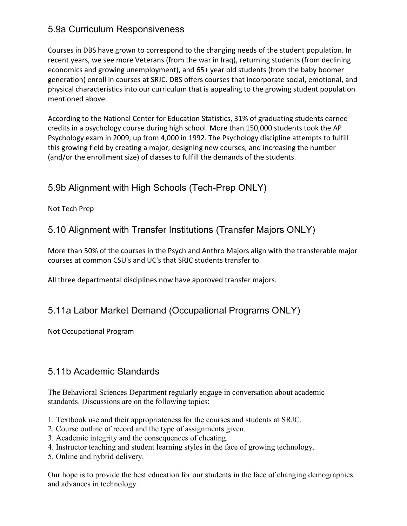## 5.9a Curriculum Responsiveness

Courses in DBS have grown to correspond to the changing needs of the student population. In recent years, we see more Veterans (from the war in Iraq), returning students (from declining economics and growing unemployment), and 65+ year old students (from the baby boomer generation) enroll in courses at SRJC. DBS offers courses that incorporate social, emotional, and physical characteristics into our curriculum that is appealing to the growing student population mentioned above.

According to the National Center for Education Statistics, 31% of graduating students earned credits in a psychology course during high school. More than 150,000 students took the AP Psychology exam in 2009, up from 4,000 in 1992. The Psychology discipline attempts to fulfill this growing field by creating a major, designing new courses, and increasing the number (and/or the enrollment size) of classes to fulfill the demands of the students.

## 5.9b Alignment with High Schools (Tech-Prep ONLY)

Not Tech Prep

## 5.10 Alignment with Transfer Institutions (Transfer Majors ONLY)

More than 50% of the courses in the Psych and Anthro Majors align with the transferable major courses at common CSU's and UC's that SRJC students transfer to.

All three departmental disciplines now have approved transfer majors.

### 5.11a Labor Market Demand (Occupational Programs ONLY)

Not Occupational Program

### 5.11b Academic Standards

The Behavioral Sciences Department regularly engage in conversation about academic standards. Discussions are on the following topics:

- 1. Textbook use and their appropriateness for the courses and students at SRJC.
- 2. Course outline of record and the type of assignments given.
- 3. Academic integrity and the consequences of cheating.
- 4. Instructor teaching and student learning styles in the face of growing technology.
- 5. Online and hybrid delivery.

Our hope is to provide the best education for our students in the face of changing demographics and advances in technology.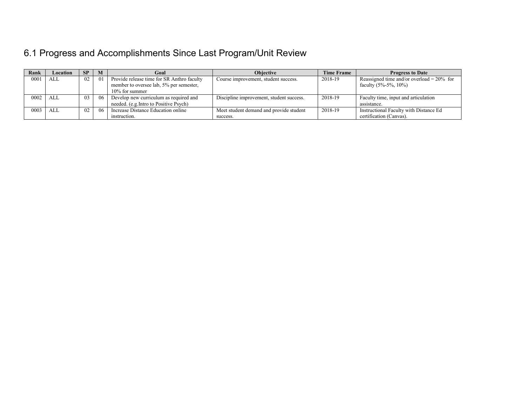# 6.1 Progress and Accomplishments Since Last Program/Unit Review

| Rank | Location | <b>SP</b> | M  | Goal                                       | <b>Objective</b>                         | <b>Time Frame</b> | <b>Progress to Date</b>                      |
|------|----------|-----------|----|--------------------------------------------|------------------------------------------|-------------------|----------------------------------------------|
| 0001 | ALL      | 02        | 01 | Provide release time for SR Anthro faculty | Course improvement, student success.     | 2018-19           | Reassigned time and/or overload = $20\%$ for |
|      |          |           |    | member to oversee lab, 5% per semester,    |                                          |                   | faculty $(5% - 5% , 10%)$                    |
|      |          |           |    | $10\%$ for summer                          |                                          |                   |                                              |
| 0002 | ALL      | 03        | 06 | Develop new curriculum as required and     | Discipline improvement, student success. | 2018-19           | Faculty time, input and articulation         |
|      |          |           |    | needed. (e.g. Intro to Positive Psych)     |                                          |                   | assistance.                                  |
| 0003 | ALL      | 02        | 06 | Increase Distance Education online         | Meet student demand and provide student  | 2018-19           | Instructional Faculty with Distance Ed       |
|      |          |           |    | instruction.                               | success.                                 |                   | certification (Canvas).                      |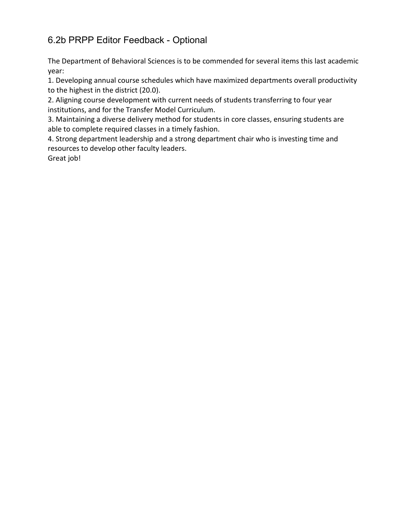## 6.2b PRPP Editor Feedback - Optional

The Department of Behavioral Sciences is to be commended for several items this last academic year:

1. Developing annual course schedules which have maximized departments overall productivity to the highest in the district (20.0).

2. Aligning course development with current needs of students transferring to four year institutions, and for the Transfer Model Curriculum.

3. Maintaining a diverse delivery method for students in core classes, ensuring students are able to complete required classes in a timely fashion.

4. Strong department leadership and a strong department chair who is investing time and resources to develop other faculty leaders.

Great job!